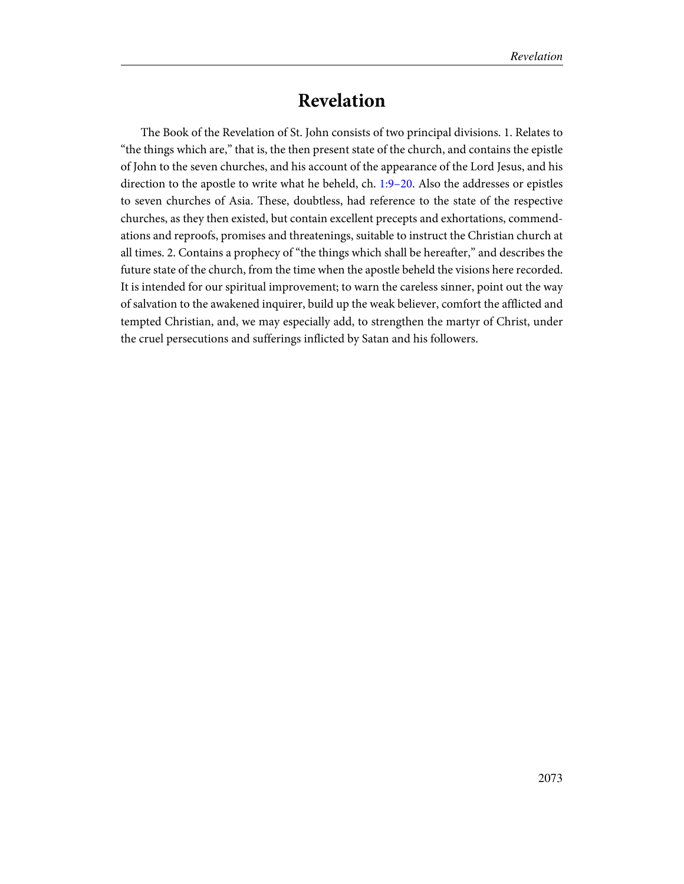# **Revelation**

The Book of the Revelation of St. John consists of two principal divisions. 1. Relates to "the things which are," that is, the then present state of the church, and contains the epistle of John to the seven churches, and his account of the appearance of the Lord Jesus, and his direction to the apostle to write what he beheld, ch. [1:9–20](http://www.ccel.org/study/Bible:Rev.1.9-Rev.1.20). Also the addresses or epistles to seven churches of Asia. These, doubtless, had reference to the state of the respective churches, as they then existed, but contain excellent precepts and exhortations, commendations and reproofs, promises and threatenings, suitable to instruct the Christian church at all times. 2. Contains a prophecy of "the things which shall be hereafter," and describes the future state of the church, from the time when the apostle beheld the visions here recorded. It is intended for our spiritual improvement; to warn the careless sinner, point out the way of salvation to the awakened inquirer, build up the weak believer, comfort the afflicted and tempted Christian, and, we may especially add, to strengthen the martyr of Christ, under the cruel persecutions and sufferings inflicted by Satan and his followers.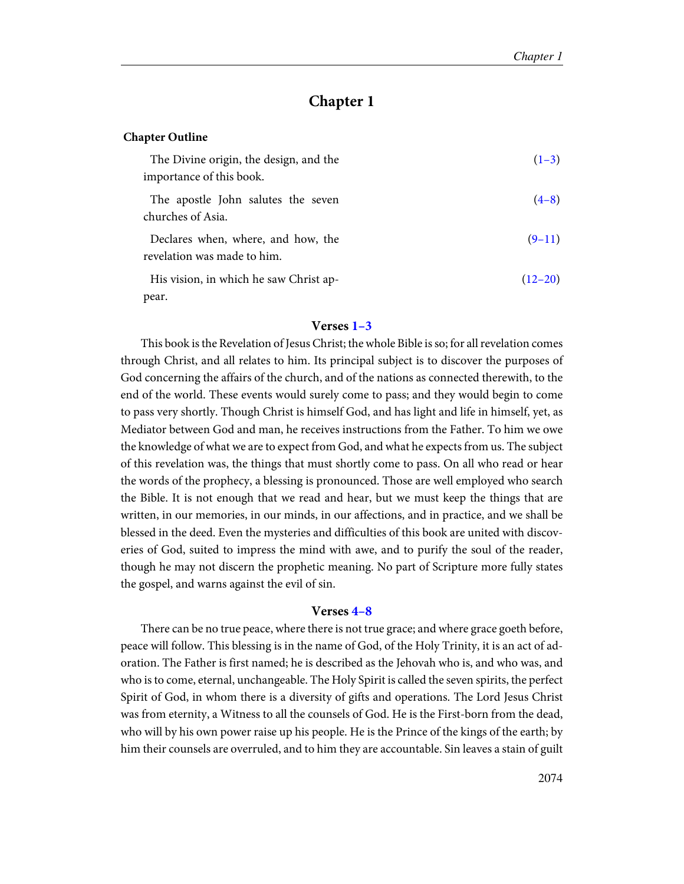### **Chapter Outline**

| The Divine origin, the design, and the<br>importance of this book. | $(1-3)$   |
|--------------------------------------------------------------------|-----------|
| The apostle John salutes the seven<br>churches of Asia.            | $(4-8)$   |
| Declares when, where, and how, the<br>revelation was made to him.  | $(9-11)$  |
| His vision, in which he saw Christ ap-                             | $(12-20)$ |
| pear.                                                              |           |

# **Verses [1–3](http://www.ccel.org/study/Bible:Rev.1.1-Rev.1.3)**

This book is the Revelation of Jesus Christ; the whole Bible is so; for all revelation comes through Christ, and all relates to him. Its principal subject is to discover the purposes of God concerning the affairs of the church, and of the nations as connected therewith, to the end of the world. These events would surely come to pass; and they would begin to come to pass very shortly. Though Christ is himself God, and has light and life in himself, yet, as Mediator between God and man, he receives instructions from the Father. To him we owe the knowledge of what we are to expect from God, and what he expects from us. The subject of this revelation was, the things that must shortly come to pass. On all who read or hear the words of the prophecy, a blessing is pronounced. Those are well employed who search the Bible. It is not enough that we read and hear, but we must keep the things that are written, in our memories, in our minds, in our affections, and in practice, and we shall be blessed in the deed. Even the mysteries and difficulties of this book are united with discoveries of God, suited to impress the mind with awe, and to purify the soul of the reader, though he may not discern the prophetic meaning. No part of Scripture more fully states the gospel, and warns against the evil of sin.

#### **Verses [4–8](http://www.ccel.org/study/Bible:Rev.1.4-Rev.1.8)**

There can be no true peace, where there is not true grace; and where grace goeth before, peace will follow. This blessing is in the name of God, of the Holy Trinity, it is an act of adoration. The Father is first named; he is described as the Jehovah who is, and who was, and who is to come, eternal, unchangeable. The Holy Spirit is called the seven spirits, the perfect Spirit of God, in whom there is a diversity of gifts and operations. The Lord Jesus Christ was from eternity, a Witness to all the counsels of God. He is the First-born from the dead, who will by his own power raise up his people. He is the Prince of the kings of the earth; by him their counsels are overruled, and to him they are accountable. Sin leaves a stain of guilt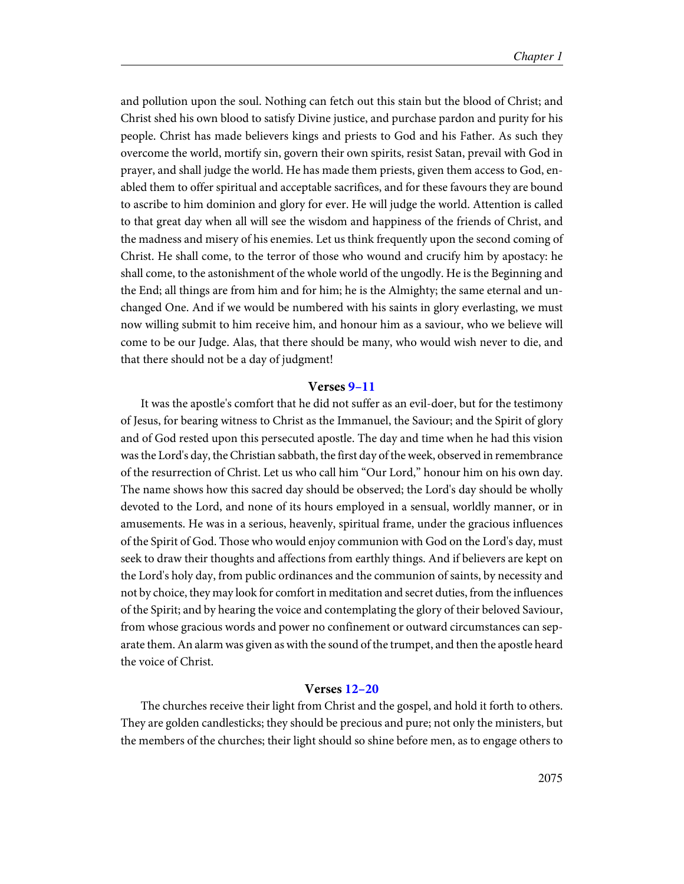and pollution upon the soul. Nothing can fetch out this stain but the blood of Christ; and Christ shed his own blood to satisfy Divine justice, and purchase pardon and purity for his people. Christ has made believers kings and priests to God and his Father. As such they overcome the world, mortify sin, govern their own spirits, resist Satan, prevail with God in prayer, and shall judge the world. He has made them priests, given them access to God, enabled them to offer spiritual and acceptable sacrifices, and for these favours they are bound to ascribe to him dominion and glory for ever. He will judge the world. Attention is called to that great day when all will see the wisdom and happiness of the friends of Christ, and the madness and misery of his enemies. Let us think frequently upon the second coming of Christ. He shall come, to the terror of those who wound and crucify him by apostacy: he shall come, to the astonishment of the whole world of the ungodly. He is the Beginning and the End; all things are from him and for him; he is the Almighty; the same eternal and unchanged One. And if we would be numbered with his saints in glory everlasting, we must now willing submit to him receive him, and honour him as a saviour, who we believe will come to be our Judge. Alas, that there should be many, who would wish never to die, and that there should not be a day of judgment!

# **Verses [9–11](http://www.ccel.org/study/Bible:Rev.1.9-Rev.1.11)**

It was the apostle's comfort that he did not suffer as an evil-doer, but for the testimony of Jesus, for bearing witness to Christ as the Immanuel, the Saviour; and the Spirit of glory and of God rested upon this persecuted apostle. The day and time when he had this vision was the Lord's day, the Christian sabbath, the first day of the week, observed in remembrance of the resurrection of Christ. Let us who call him "Our Lord," honour him on his own day. The name shows how this sacred day should be observed; the Lord's day should be wholly devoted to the Lord, and none of its hours employed in a sensual, worldly manner, or in amusements. He was in a serious, heavenly, spiritual frame, under the gracious influences of the Spirit of God. Those who would enjoy communion with God on the Lord's day, must seek to draw their thoughts and affections from earthly things. And if believers are kept on the Lord's holy day, from public ordinances and the communion of saints, by necessity and not by choice, they may look for comfort in meditation and secret duties, from the influences of the Spirit; and by hearing the voice and contemplating the glory of their beloved Saviour, from whose gracious words and power no confinement or outward circumstances can separate them. An alarm was given as with the sound of the trumpet, and then the apostle heard the voice of Christ.

## **Verses [12–20](http://www.ccel.org/study/Bible:Rev.1.12-Rev.1.20)**

The churches receive their light from Christ and the gospel, and hold it forth to others. They are golden candlesticks; they should be precious and pure; not only the ministers, but the members of the churches; their light should so shine before men, as to engage others to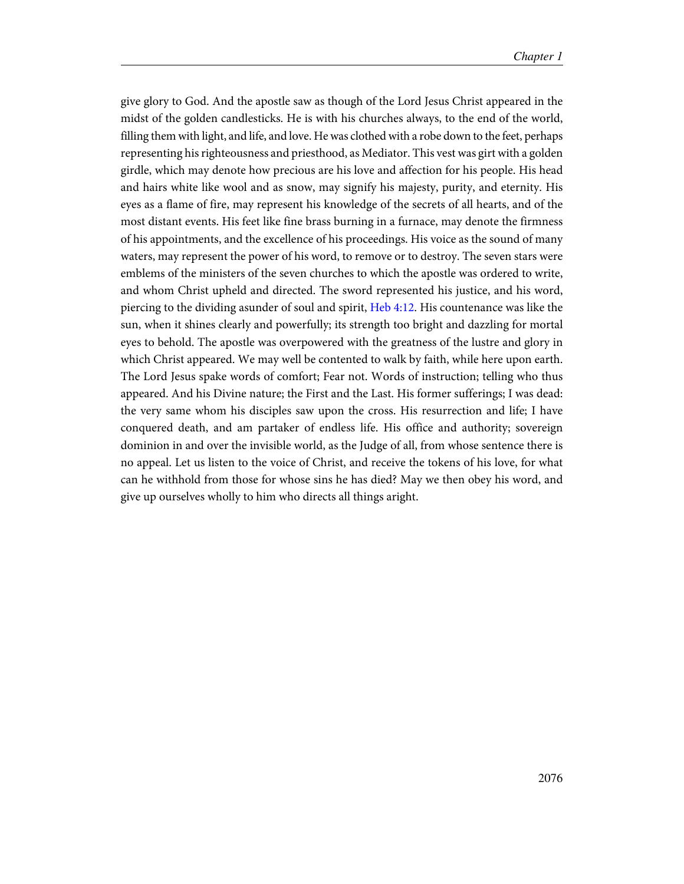give glory to God. And the apostle saw as though of the Lord Jesus Christ appeared in the midst of the golden candlesticks. He is with his churches always, to the end of the world, filling them with light, and life, and love. He was clothed with a robe down to the feet, perhaps representing his righteousness and priesthood, as Mediator. This vest was girt with a golden girdle, which may denote how precious are his love and affection for his people. His head and hairs white like wool and as snow, may signify his majesty, purity, and eternity. His eyes as a flame of fire, may represent his knowledge of the secrets of all hearts, and of the most distant events. His feet like fine brass burning in a furnace, may denote the firmness of his appointments, and the excellence of his proceedings. His voice as the sound of many waters, may represent the power of his word, to remove or to destroy. The seven stars were emblems of the ministers of the seven churches to which the apostle was ordered to write, and whom Christ upheld and directed. The sword represented his justice, and his word, piercing to the dividing asunder of soul and spirit, [Heb 4:12.](http://www.ccel.org/study/Bible:Heb.4.12) His countenance was like the sun, when it shines clearly and powerfully; its strength too bright and dazzling for mortal eyes to behold. The apostle was overpowered with the greatness of the lustre and glory in which Christ appeared. We may well be contented to walk by faith, while here upon earth. The Lord Jesus spake words of comfort; Fear not. Words of instruction; telling who thus appeared. And his Divine nature; the First and the Last. His former sufferings; I was dead: the very same whom his disciples saw upon the cross. His resurrection and life; I have conquered death, and am partaker of endless life. His office and authority; sovereign dominion in and over the invisible world, as the Judge of all, from whose sentence there is no appeal. Let us listen to the voice of Christ, and receive the tokens of his love, for what can he withhold from those for whose sins he has died? May we then obey his word, and give up ourselves wholly to him who directs all things aright.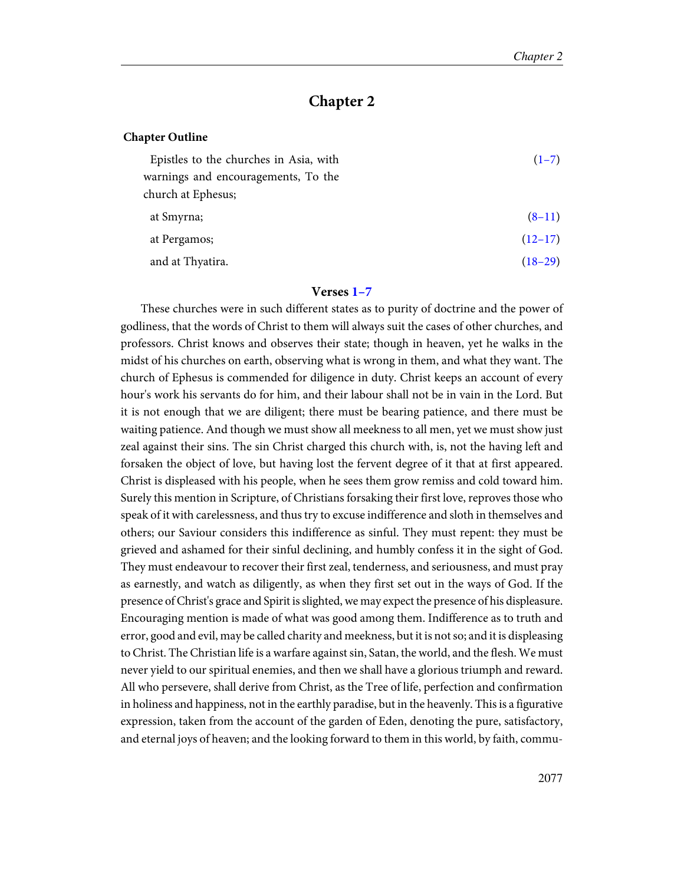### **Chapter Outline**

| Epistles to the churches in Asia, with | $(1-7)$   |
|----------------------------------------|-----------|
| warnings and encouragements, To the    |           |
| church at Ephesus;                     |           |
| at Smyrna;                             | $(8-11)$  |
| at Pergamos;                           | $(12-17)$ |
| and at Thyatira.                       | $(18-29)$ |

# **Verses [1–7](http://www.ccel.org/study/Bible:Rev.2.1-Rev.2.7)**

These churches were in such different states as to purity of doctrine and the power of godliness, that the words of Christ to them will always suit the cases of other churches, and professors. Christ knows and observes their state; though in heaven, yet he walks in the midst of his churches on earth, observing what is wrong in them, and what they want. The church of Ephesus is commended for diligence in duty. Christ keeps an account of every hour's work his servants do for him, and their labour shall not be in vain in the Lord. But it is not enough that we are diligent; there must be bearing patience, and there must be waiting patience. And though we must show all meekness to all men, yet we must show just zeal against their sins. The sin Christ charged this church with, is, not the having left and forsaken the object of love, but having lost the fervent degree of it that at first appeared. Christ is displeased with his people, when he sees them grow remiss and cold toward him. Surely this mention in Scripture, of Christians forsaking their first love, reproves those who speak of it with carelessness, and thus try to excuse indifference and sloth in themselves and others; our Saviour considers this indifference as sinful. They must repent: they must be grieved and ashamed for their sinful declining, and humbly confess it in the sight of God. They must endeavour to recover their first zeal, tenderness, and seriousness, and must pray as earnestly, and watch as diligently, as when they first set out in the ways of God. If the presence of Christ's grace and Spirit is slighted, we may expect the presence of his displeasure. Encouraging mention is made of what was good among them. Indifference as to truth and error, good and evil, may be called charity and meekness, but it is not so; and it is displeasing to Christ. The Christian life is a warfare against sin, Satan, the world, and the flesh. We must never yield to our spiritual enemies, and then we shall have a glorious triumph and reward. All who persevere, shall derive from Christ, as the Tree of life, perfection and confirmation in holiness and happiness, not in the earthly paradise, but in the heavenly. This is a figurative expression, taken from the account of the garden of Eden, denoting the pure, satisfactory, and eternal joys of heaven; and the looking forward to them in this world, by faith, commu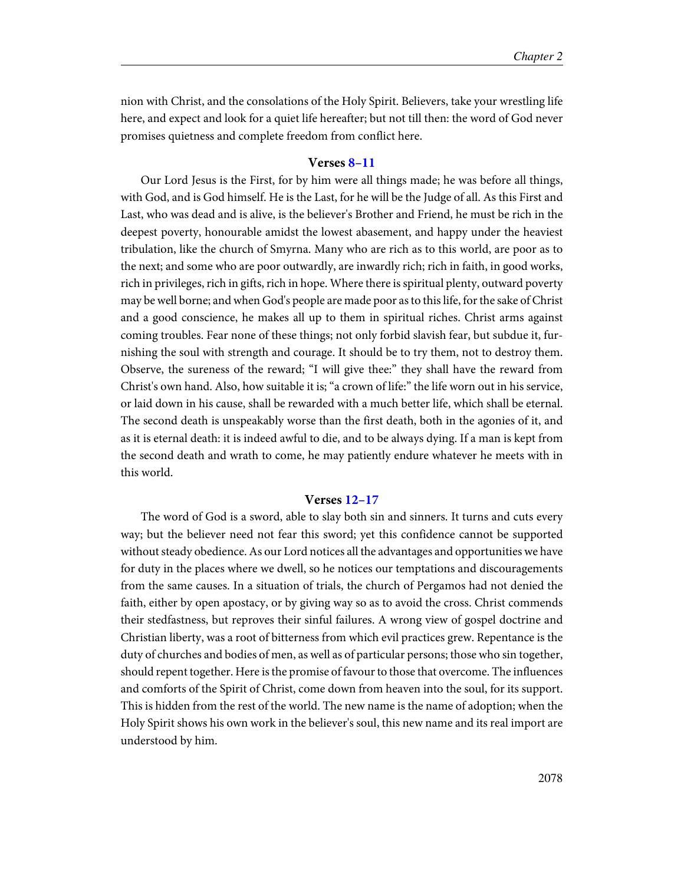nion with Christ, and the consolations of the Holy Spirit. Believers, take your wrestling life here, and expect and look for a quiet life hereafter; but not till then: the word of God never promises quietness and complete freedom from conflict here.

## **Verses [8–11](http://www.ccel.org/study/Bible:Rev.2.8-Rev.2.11)**

Our Lord Jesus is the First, for by him were all things made; he was before all things, with God, and is God himself. He is the Last, for he will be the Judge of all. As this First and Last, who was dead and is alive, is the believer's Brother and Friend, he must be rich in the deepest poverty, honourable amidst the lowest abasement, and happy under the heaviest tribulation, like the church of Smyrna. Many who are rich as to this world, are poor as to the next; and some who are poor outwardly, are inwardly rich; rich in faith, in good works, rich in privileges, rich in gifts, rich in hope. Where there is spiritual plenty, outward poverty may be well borne; and when God's people are made poor as to this life, for the sake of Christ and a good conscience, he makes all up to them in spiritual riches. Christ arms against coming troubles. Fear none of these things; not only forbid slavish fear, but subdue it, furnishing the soul with strength and courage. It should be to try them, not to destroy them. Observe, the sureness of the reward; "I will give thee:" they shall have the reward from Christ's own hand. Also, how suitable it is; "a crown of life:" the life worn out in his service, or laid down in his cause, shall be rewarded with a much better life, which shall be eternal. The second death is unspeakably worse than the first death, both in the agonies of it, and as it is eternal death: it is indeed awful to die, and to be always dying. If a man is kept from the second death and wrath to come, he may patiently endure whatever he meets with in this world.

## **Verses [12–17](http://www.ccel.org/study/Bible:Rev.2.12-Rev.2.17)**

The word of God is a sword, able to slay both sin and sinners. It turns and cuts every way; but the believer need not fear this sword; yet this confidence cannot be supported without steady obedience. As our Lord notices all the advantages and opportunities we have for duty in the places where we dwell, so he notices our temptations and discouragements from the same causes. In a situation of trials, the church of Pergamos had not denied the faith, either by open apostacy, or by giving way so as to avoid the cross. Christ commends their stedfastness, but reproves their sinful failures. A wrong view of gospel doctrine and Christian liberty, was a root of bitterness from which evil practices grew. Repentance is the duty of churches and bodies of men, as well as of particular persons; those who sin together, should repent together. Here is the promise of favour to those that overcome. The influences and comforts of the Spirit of Christ, come down from heaven into the soul, for its support. This is hidden from the rest of the world. The new name is the name of adoption; when the Holy Spirit shows his own work in the believer's soul, this new name and its real import are understood by him.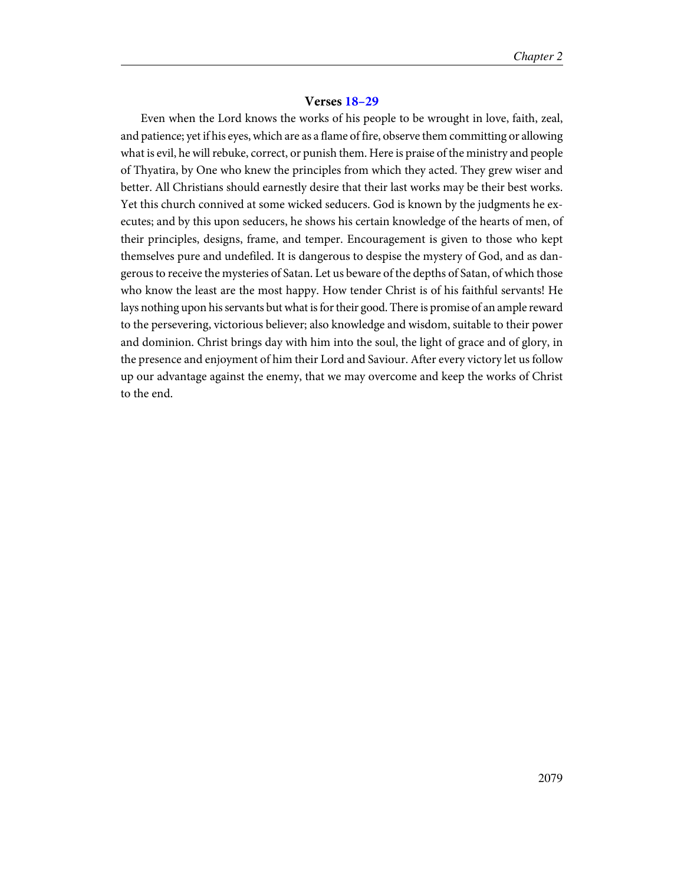# **Verses [18–29](http://www.ccel.org/study/Bible:Rev.2.18-Rev.2.29)**

Even when the Lord knows the works of his people to be wrought in love, faith, zeal, and patience; yet if his eyes, which are as a flame of fire, observe them committing or allowing what is evil, he will rebuke, correct, or punish them. Here is praise of the ministry and people of Thyatira, by One who knew the principles from which they acted. They grew wiser and better. All Christians should earnestly desire that their last works may be their best works. Yet this church connived at some wicked seducers. God is known by the judgments he executes; and by this upon seducers, he shows his certain knowledge of the hearts of men, of their principles, designs, frame, and temper. Encouragement is given to those who kept themselves pure and undefiled. It is dangerous to despise the mystery of God, and as dangerous to receive the mysteries of Satan. Let us beware of the depths of Satan, of which those who know the least are the most happy. How tender Christ is of his faithful servants! He lays nothing upon his servants but what is for their good. There is promise of an ample reward to the persevering, victorious believer; also knowledge and wisdom, suitable to their power and dominion. Christ brings day with him into the soul, the light of grace and of glory, in the presence and enjoyment of him their Lord and Saviour. After every victory let us follow up our advantage against the enemy, that we may overcome and keep the works of Christ to the end.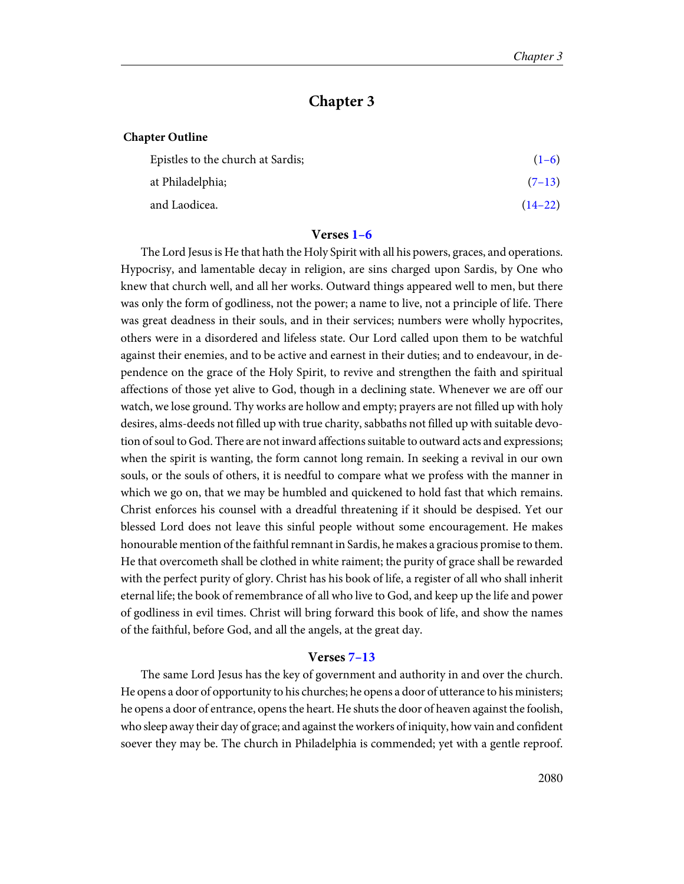### **Chapter Outline**

| Epistles to the church at Sardis; | $(1-6)$   |
|-----------------------------------|-----------|
| at Philadelphia;                  | $(7-13)$  |
| and Laodicea.                     | $(14-22)$ |

### **Verses [1–6](http://www.ccel.org/study/Bible:Rev.3.1-Rev.3.6)**

The Lord Jesus is He that hath the Holy Spirit with all his powers, graces, and operations. Hypocrisy, and lamentable decay in religion, are sins charged upon Sardis, by One who knew that church well, and all her works. Outward things appeared well to men, but there was only the form of godliness, not the power; a name to live, not a principle of life. There was great deadness in their souls, and in their services; numbers were wholly hypocrites, others were in a disordered and lifeless state. Our Lord called upon them to be watchful against their enemies, and to be active and earnest in their duties; and to endeavour, in dependence on the grace of the Holy Spirit, to revive and strengthen the faith and spiritual affections of those yet alive to God, though in a declining state. Whenever we are off our watch, we lose ground. Thy works are hollow and empty; prayers are not filled up with holy desires, alms-deeds not filled up with true charity, sabbaths not filled up with suitable devotion of soul to God. There are not inward affections suitable to outward acts and expressions; when the spirit is wanting, the form cannot long remain. In seeking a revival in our own souls, or the souls of others, it is needful to compare what we profess with the manner in which we go on, that we may be humbled and quickened to hold fast that which remains. Christ enforces his counsel with a dreadful threatening if it should be despised. Yet our blessed Lord does not leave this sinful people without some encouragement. He makes honourable mention of the faithful remnant in Sardis, he makes a gracious promise to them. He that overcometh shall be clothed in white raiment; the purity of grace shall be rewarded with the perfect purity of glory. Christ has his book of life, a register of all who shall inherit eternal life; the book of remembrance of all who live to God, and keep up the life and power of godliness in evil times. Christ will bring forward this book of life, and show the names of the faithful, before God, and all the angels, at the great day.

## **Verses [7–13](http://www.ccel.org/study/Bible:Rev.3.7-Rev.3.13)**

The same Lord Jesus has the key of government and authority in and over the church. He opens a door of opportunity to his churches; he opens a door of utterance to his ministers; he opens a door of entrance, opens the heart. He shuts the door of heaven against the foolish, who sleep away their day of grace; and against the workers of iniquity, how vain and confident soever they may be. The church in Philadelphia is commended; yet with a gentle reproof.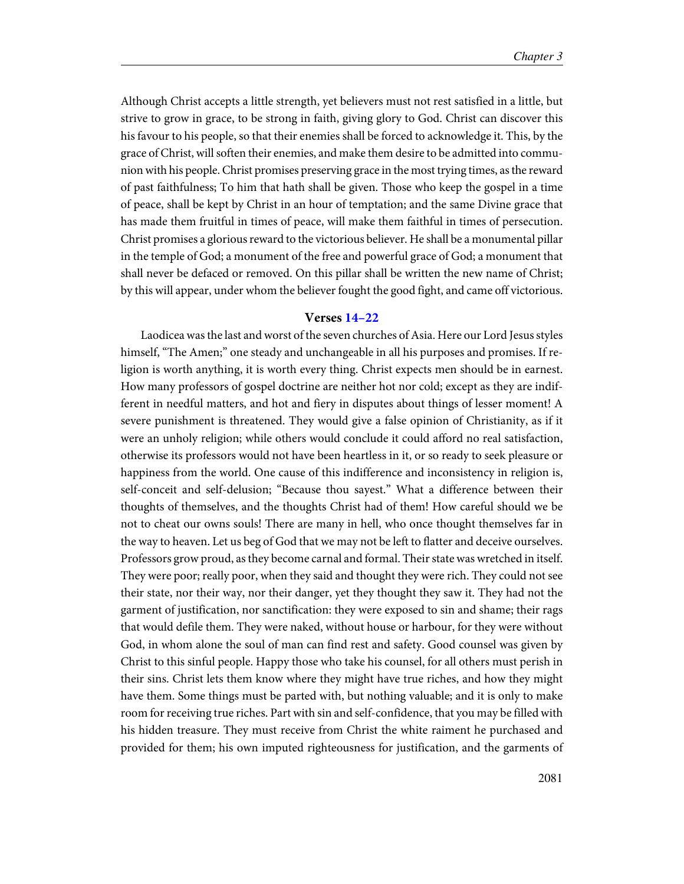Although Christ accepts a little strength, yet believers must not rest satisfied in a little, but strive to grow in grace, to be strong in faith, giving glory to God. Christ can discover this his favour to his people, so that their enemies shall be forced to acknowledge it. This, by the grace of Christ, will soften their enemies, and make them desire to be admitted into communion with his people. Christ promises preserving grace in the most trying times, as the reward of past faithfulness; To him that hath shall be given. Those who keep the gospel in a time of peace, shall be kept by Christ in an hour of temptation; and the same Divine grace that has made them fruitful in times of peace, will make them faithful in times of persecution. Christ promises a glorious reward to the victorious believer. He shall be a monumental pillar in the temple of God; a monument of the free and powerful grace of God; a monument that shall never be defaced or removed. On this pillar shall be written the new name of Christ; by this will appear, under whom the believer fought the good fight, and came off victorious.

#### **Verses [14–22](http://www.ccel.org/study/Bible:Rev.3.14-Rev.3.22)**

Laodicea was the last and worst of the seven churches of Asia. Here our Lord Jesus styles himself, "The Amen;" one steady and unchangeable in all his purposes and promises. If religion is worth anything, it is worth every thing. Christ expects men should be in earnest. How many professors of gospel doctrine are neither hot nor cold; except as they are indifferent in needful matters, and hot and fiery in disputes about things of lesser moment! A severe punishment is threatened. They would give a false opinion of Christianity, as if it were an unholy religion; while others would conclude it could afford no real satisfaction, otherwise its professors would not have been heartless in it, or so ready to seek pleasure or happiness from the world. One cause of this indifference and inconsistency in religion is, self-conceit and self-delusion; "Because thou sayest." What a difference between their thoughts of themselves, and the thoughts Christ had of them! How careful should we be not to cheat our owns souls! There are many in hell, who once thought themselves far in the way to heaven. Let us beg of God that we may not be left to flatter and deceive ourselves. Professors grow proud, as they become carnal and formal. Their state was wretched in itself. They were poor; really poor, when they said and thought they were rich. They could not see their state, nor their way, nor their danger, yet they thought they saw it. They had not the garment of justification, nor sanctification: they were exposed to sin and shame; their rags that would defile them. They were naked, without house or harbour, for they were without God, in whom alone the soul of man can find rest and safety. Good counsel was given by Christ to this sinful people. Happy those who take his counsel, for all others must perish in their sins. Christ lets them know where they might have true riches, and how they might have them. Some things must be parted with, but nothing valuable; and it is only to make room for receiving true riches. Part with sin and self-confidence, that you may be filled with his hidden treasure. They must receive from Christ the white raiment he purchased and provided for them; his own imputed righteousness for justification, and the garments of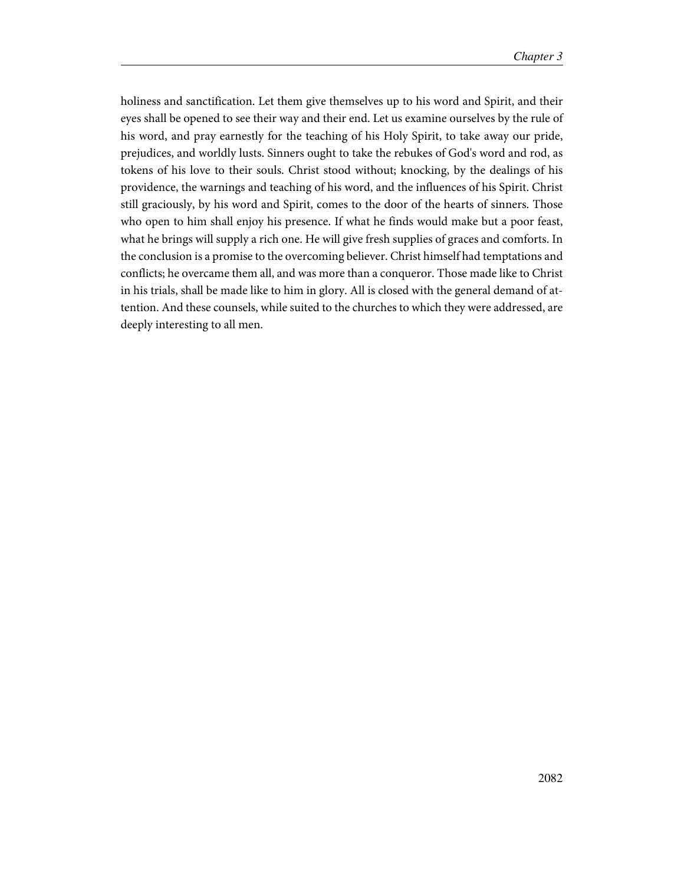holiness and sanctification. Let them give themselves up to his word and Spirit, and their eyes shall be opened to see their way and their end. Let us examine ourselves by the rule of his word, and pray earnestly for the teaching of his Holy Spirit, to take away our pride, prejudices, and worldly lusts. Sinners ought to take the rebukes of God's word and rod, as tokens of his love to their souls. Christ stood without; knocking, by the dealings of his providence, the warnings and teaching of his word, and the influences of his Spirit. Christ still graciously, by his word and Spirit, comes to the door of the hearts of sinners. Those who open to him shall enjoy his presence. If what he finds would make but a poor feast, what he brings will supply a rich one. He will give fresh supplies of graces and comforts. In the conclusion is a promise to the overcoming believer. Christ himself had temptations and conflicts; he overcame them all, and was more than a conqueror. Those made like to Christ in his trials, shall be made like to him in glory. All is closed with the general demand of attention. And these counsels, while suited to the churches to which they were addressed, are deeply interesting to all men.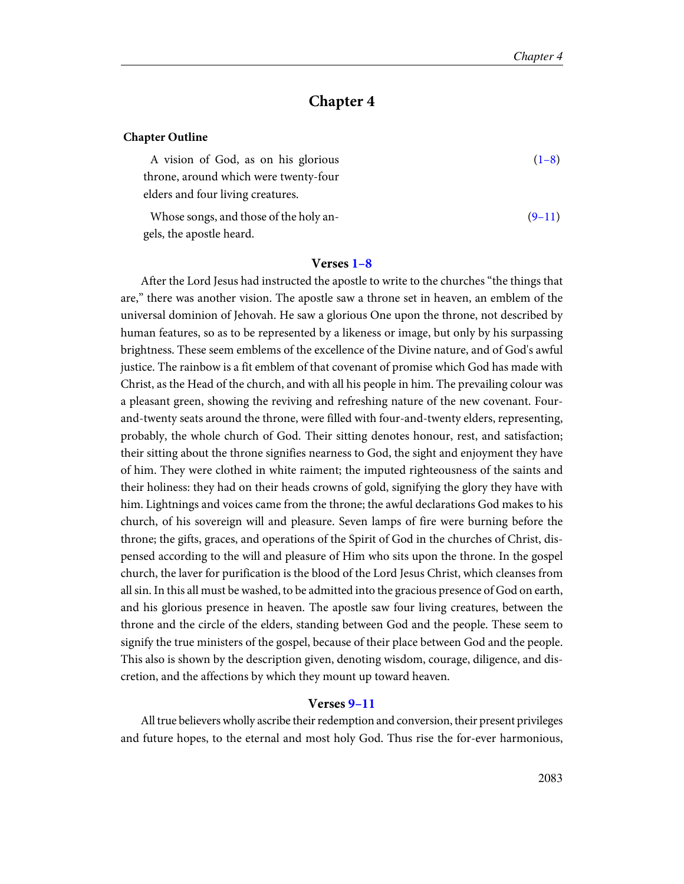### **Chapter Outline**

| A vision of God, as on his glorious    | $(1-8)$  |
|----------------------------------------|----------|
| throne, around which were twenty-four  |          |
| elders and four living creatures.      |          |
| Whose songs, and those of the holy an- | $(9-11)$ |
| gels, the apostle heard.               |          |

## **Verses [1–8](http://www.ccel.org/study/Bible:Rev.4.1-Rev.4.8)**

After the Lord Jesus had instructed the apostle to write to the churches "the things that are," there was another vision. The apostle saw a throne set in heaven, an emblem of the universal dominion of Jehovah. He saw a glorious One upon the throne, not described by human features, so as to be represented by a likeness or image, but only by his surpassing brightness. These seem emblems of the excellence of the Divine nature, and of God's awful justice. The rainbow is a fit emblem of that covenant of promise which God has made with Christ, as the Head of the church, and with all his people in him. The prevailing colour was a pleasant green, showing the reviving and refreshing nature of the new covenant. Fourand-twenty seats around the throne, were filled with four-and-twenty elders, representing, probably, the whole church of God. Their sitting denotes honour, rest, and satisfaction; their sitting about the throne signifies nearness to God, the sight and enjoyment they have of him. They were clothed in white raiment; the imputed righteousness of the saints and their holiness: they had on their heads crowns of gold, signifying the glory they have with him. Lightnings and voices came from the throne; the awful declarations God makes to his church, of his sovereign will and pleasure. Seven lamps of fire were burning before the throne; the gifts, graces, and operations of the Spirit of God in the churches of Christ, dispensed according to the will and pleasure of Him who sits upon the throne. In the gospel church, the laver for purification is the blood of the Lord Jesus Christ, which cleanses from all sin. In this all must be washed, to be admitted into the gracious presence of God on earth, and his glorious presence in heaven. The apostle saw four living creatures, between the throne and the circle of the elders, standing between God and the people. These seem to signify the true ministers of the gospel, because of their place between God and the people. This also is shown by the description given, denoting wisdom, courage, diligence, and discretion, and the affections by which they mount up toward heaven.

#### **Verses [9–11](http://www.ccel.org/study/Bible:Rev.4.9-Rev.4.11)**

All true believers wholly ascribe their redemption and conversion, their present privileges and future hopes, to the eternal and most holy God. Thus rise the for-ever harmonious,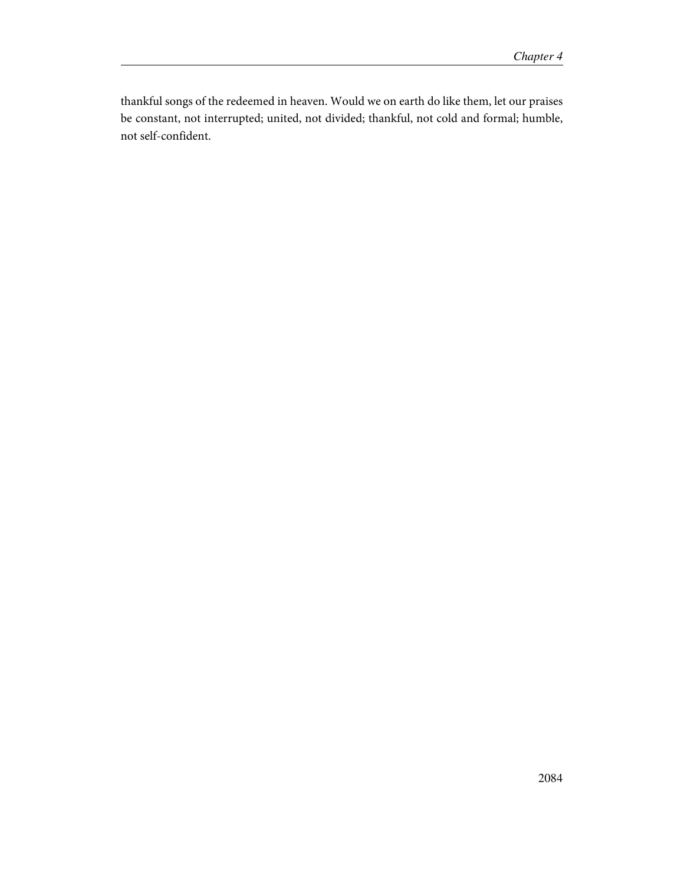thankful songs of the redeemed in heaven. Would we on earth do like them, let our praises be constant, not interrupted; united, not divided; thankful, not cold and formal; humble, not self-confident.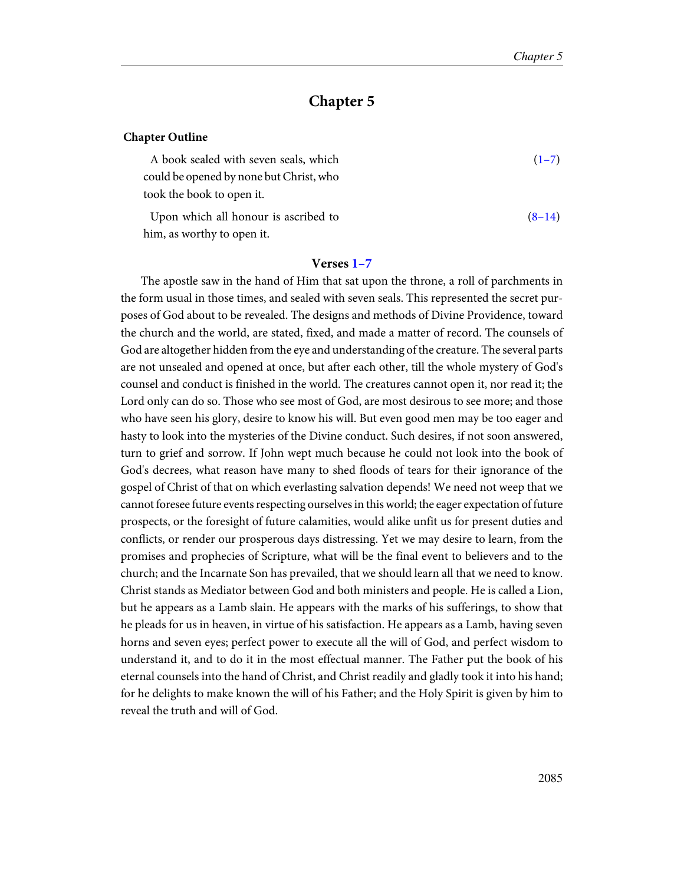### **Chapter Outline**

| A book sealed with seven seals, which   | $(1-7)$  |
|-----------------------------------------|----------|
| could be opened by none but Christ, who |          |
| took the book to open it.               |          |
| Upon which all honour is ascribed to    | $(8-14)$ |
| him, as worthy to open it.              |          |

## **Verses [1–7](http://www.ccel.org/study/Bible:Rev.5.1-Rev.5.7)**

The apostle saw in the hand of Him that sat upon the throne, a roll of parchments in the form usual in those times, and sealed with seven seals. This represented the secret purposes of God about to be revealed. The designs and methods of Divine Providence, toward the church and the world, are stated, fixed, and made a matter of record. The counsels of God are altogether hidden from the eye and understanding of the creature. The several parts are not unsealed and opened at once, but after each other, till the whole mystery of God's counsel and conduct is finished in the world. The creatures cannot open it, nor read it; the Lord only can do so. Those who see most of God, are most desirous to see more; and those who have seen his glory, desire to know his will. But even good men may be too eager and hasty to look into the mysteries of the Divine conduct. Such desires, if not soon answered, turn to grief and sorrow. If John wept much because he could not look into the book of God's decrees, what reason have many to shed floods of tears for their ignorance of the gospel of Christ of that on which everlasting salvation depends! We need not weep that we cannot foresee future events respecting ourselves in this world; the eager expectation of future prospects, or the foresight of future calamities, would alike unfit us for present duties and conflicts, or render our prosperous days distressing. Yet we may desire to learn, from the promises and prophecies of Scripture, what will be the final event to believers and to the church; and the Incarnate Son has prevailed, that we should learn all that we need to know. Christ stands as Mediator between God and both ministers and people. He is called a Lion, but he appears as a Lamb slain. He appears with the marks of his sufferings, to show that he pleads for us in heaven, in virtue of his satisfaction. He appears as a Lamb, having seven horns and seven eyes; perfect power to execute all the will of God, and perfect wisdom to understand it, and to do it in the most effectual manner. The Father put the book of his eternal counsels into the hand of Christ, and Christ readily and gladly took it into his hand; for he delights to make known the will of his Father; and the Holy Spirit is given by him to reveal the truth and will of God.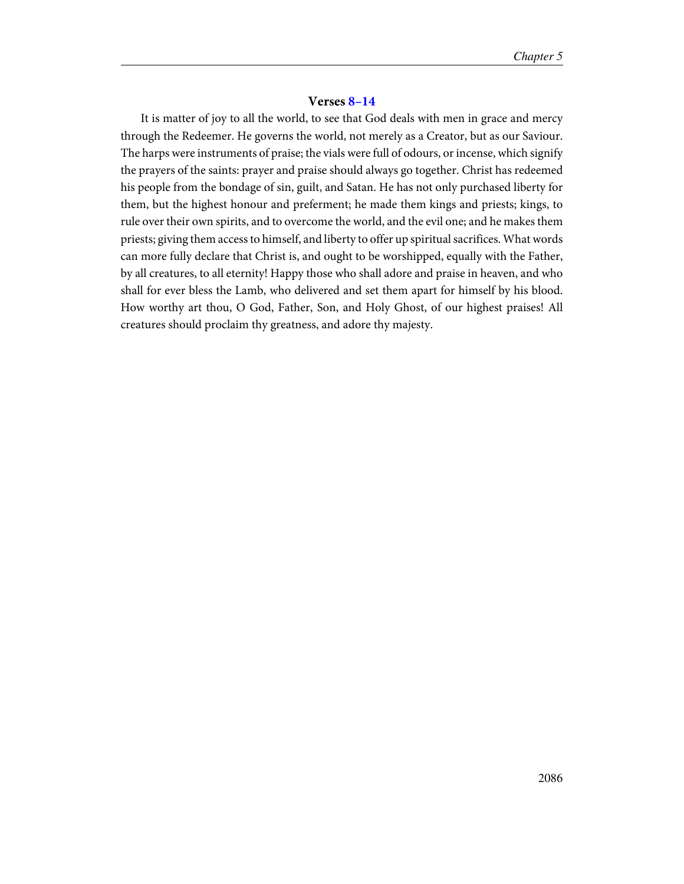# **Verses [8–14](http://www.ccel.org/study/Bible:Rev.5.8-Rev.5.14)**

It is matter of joy to all the world, to see that God deals with men in grace and mercy through the Redeemer. He governs the world, not merely as a Creator, but as our Saviour. The harps were instruments of praise; the vials were full of odours, or incense, which signify the prayers of the saints: prayer and praise should always go together. Christ has redeemed his people from the bondage of sin, guilt, and Satan. He has not only purchased liberty for them, but the highest honour and preferment; he made them kings and priests; kings, to rule over their own spirits, and to overcome the world, and the evil one; and he makes them priests; giving them access to himself, and liberty to offer up spiritual sacrifices. What words can more fully declare that Christ is, and ought to be worshipped, equally with the Father, by all creatures, to all eternity! Happy those who shall adore and praise in heaven, and who shall for ever bless the Lamb, who delivered and set them apart for himself by his blood. How worthy art thou, O God, Father, Son, and Holy Ghost, of our highest praises! All creatures should proclaim thy greatness, and adore thy majesty.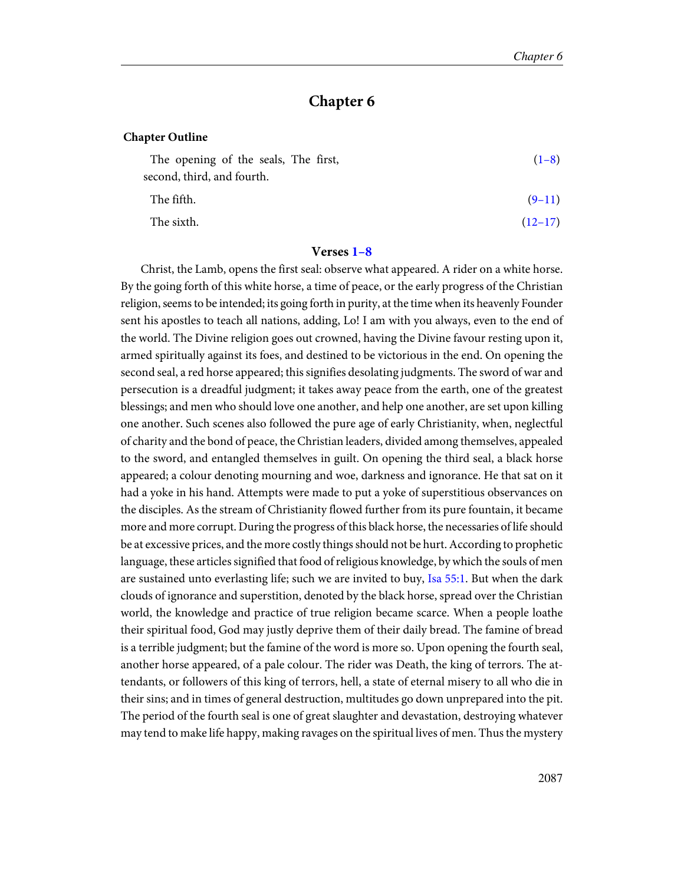## **Chapter Outline**

| The opening of the seals, The first, | $(1-8)$   |
|--------------------------------------|-----------|
| second, third, and fourth.           |           |
| The fifth.                           | $(9-11)$  |
| The sixth.                           | $(12-17)$ |

# **Verses [1–8](http://www.ccel.org/study/Bible:Rev.6.1-Rev.6.8)**

Christ, the Lamb, opens the first seal: observe what appeared. A rider on a white horse. By the going forth of this white horse, a time of peace, or the early progress of the Christian religion, seems to be intended; its going forth in purity, at the time when its heavenly Founder sent his apostles to teach all nations, adding, Lo! I am with you always, even to the end of the world. The Divine religion goes out crowned, having the Divine favour resting upon it, armed spiritually against its foes, and destined to be victorious in the end. On opening the second seal, a red horse appeared; this signifies desolating judgments. The sword of war and persecution is a dreadful judgment; it takes away peace from the earth, one of the greatest blessings; and men who should love one another, and help one another, are set upon killing one another. Such scenes also followed the pure age of early Christianity, when, neglectful of charity and the bond of peace, the Christian leaders, divided among themselves, appealed to the sword, and entangled themselves in guilt. On opening the third seal, a black horse appeared; a colour denoting mourning and woe, darkness and ignorance. He that sat on it had a yoke in his hand. Attempts were made to put a yoke of superstitious observances on the disciples. As the stream of Christianity flowed further from its pure fountain, it became more and more corrupt. During the progress of this black horse, the necessaries of life should be at excessive prices, and the more costly things should not be hurt. According to prophetic language, these articles signified that food of religious knowledge, by which the souls of men are sustained unto everlasting life; such we are invited to buy, [Isa 55:1.](http://www.ccel.org/study/Bible:Isa.55.1) But when the dark clouds of ignorance and superstition, denoted by the black horse, spread over the Christian world, the knowledge and practice of true religion became scarce. When a people loathe their spiritual food, God may justly deprive them of their daily bread. The famine of bread is a terrible judgment; but the famine of the word is more so. Upon opening the fourth seal, another horse appeared, of a pale colour. The rider was Death, the king of terrors. The attendants, or followers of this king of terrors, hell, a state of eternal misery to all who die in their sins; and in times of general destruction, multitudes go down unprepared into the pit. The period of the fourth seal is one of great slaughter and devastation, destroying whatever may tend to make life happy, making ravages on the spiritual lives of men. Thus the mystery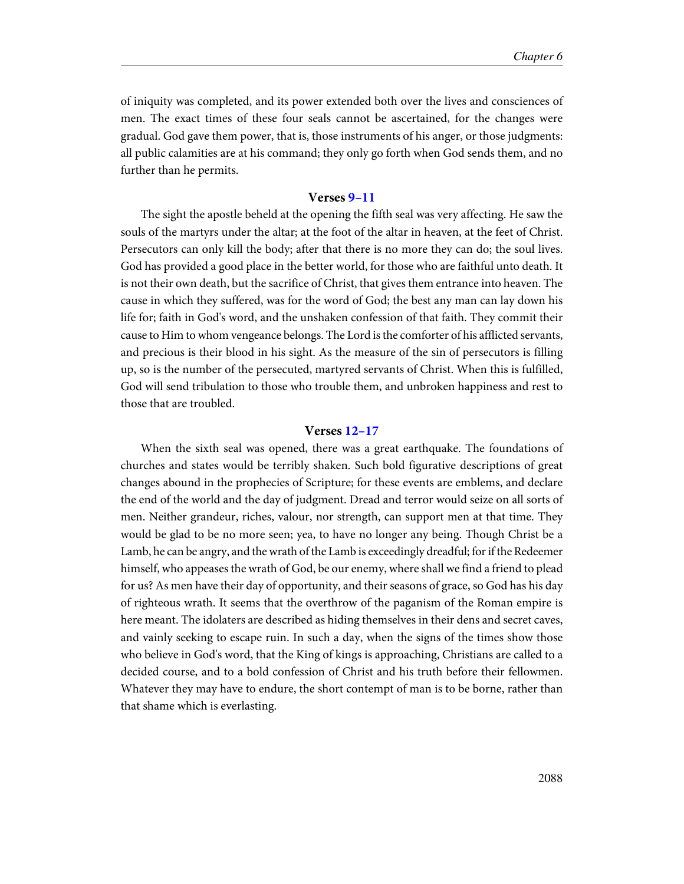of iniquity was completed, and its power extended both over the lives and consciences of men. The exact times of these four seals cannot be ascertained, for the changes were gradual. God gave them power, that is, those instruments of his anger, or those judgments: all public calamities are at his command; they only go forth when God sends them, and no further than he permits.

## **Verses [9–11](http://www.ccel.org/study/Bible:Rev.6.9-Rev.6.11)**

The sight the apostle beheld at the opening the fifth seal was very affecting. He saw the souls of the martyrs under the altar; at the foot of the altar in heaven, at the feet of Christ. Persecutors can only kill the body; after that there is no more they can do; the soul lives. God has provided a good place in the better world, for those who are faithful unto death. It is not their own death, but the sacrifice of Christ, that gives them entrance into heaven. The cause in which they suffered, was for the word of God; the best any man can lay down his life for; faith in God's word, and the unshaken confession of that faith. They commit their cause to Him to whom vengeance belongs. The Lord is the comforter of his afflicted servants, and precious is their blood in his sight. As the measure of the sin of persecutors is filling up, so is the number of the persecuted, martyred servants of Christ. When this is fulfilled, God will send tribulation to those who trouble them, and unbroken happiness and rest to those that are troubled.

## **Verses [12–17](http://www.ccel.org/study/Bible:Rev.6.12-Rev.6.17)**

When the sixth seal was opened, there was a great earthquake. The foundations of churches and states would be terribly shaken. Such bold figurative descriptions of great changes abound in the prophecies of Scripture; for these events are emblems, and declare the end of the world and the day of judgment. Dread and terror would seize on all sorts of men. Neither grandeur, riches, valour, nor strength, can support men at that time. They would be glad to be no more seen; yea, to have no longer any being. Though Christ be a Lamb, he can be angry, and the wrath of the Lamb is exceedingly dreadful; for if the Redeemer himself, who appeases the wrath of God, be our enemy, where shall we find a friend to plead for us? As men have their day of opportunity, and their seasons of grace, so God has his day of righteous wrath. It seems that the overthrow of the paganism of the Roman empire is here meant. The idolaters are described as hiding themselves in their dens and secret caves, and vainly seeking to escape ruin. In such a day, when the signs of the times show those who believe in God's word, that the King of kings is approaching, Christians are called to a decided course, and to a bold confession of Christ and his truth before their fellowmen. Whatever they may have to endure, the short contempt of man is to be borne, rather than that shame which is everlasting.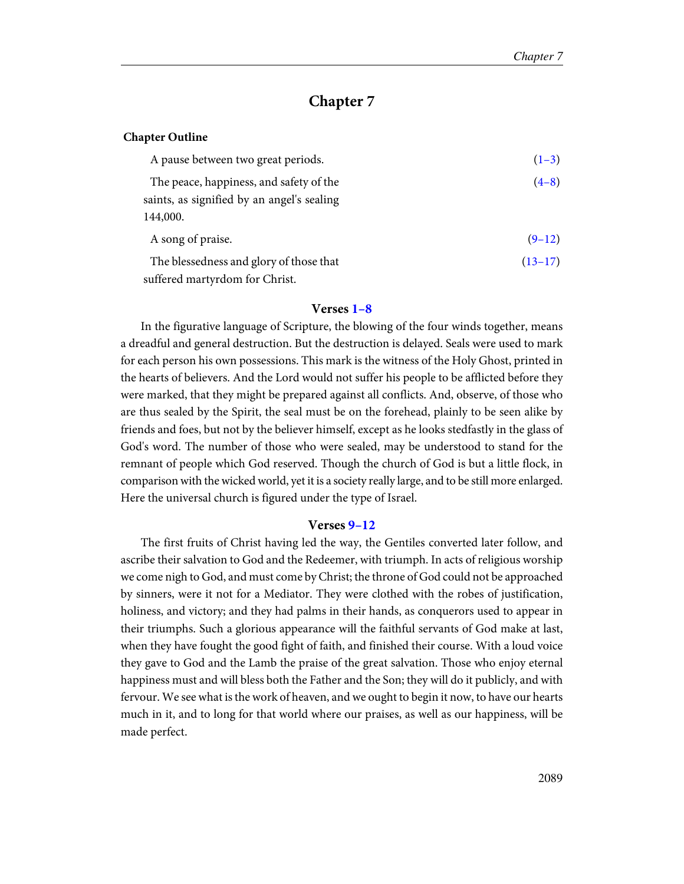### **Chapter Outline**

| $(1-3)$   |
|-----------|
| $(4-8)$   |
| $(9-12)$  |
| $(13-17)$ |
|           |

## **Verses [1–8](http://www.ccel.org/study/Bible:Rev.7.1-Rev.7.8)**

In the figurative language of Scripture, the blowing of the four winds together, means a dreadful and general destruction. But the destruction is delayed. Seals were used to mark for each person his own possessions. This mark is the witness of the Holy Ghost, printed in the hearts of believers. And the Lord would not suffer his people to be afflicted before they were marked, that they might be prepared against all conflicts. And, observe, of those who are thus sealed by the Spirit, the seal must be on the forehead, plainly to be seen alike by friends and foes, but not by the believer himself, except as he looks stedfastly in the glass of God's word. The number of those who were sealed, may be understood to stand for the remnant of people which God reserved. Though the church of God is but a little flock, in comparison with the wicked world, yet it is a society really large, and to be still more enlarged. Here the universal church is figured under the type of Israel.

## **Verses [9–12](http://www.ccel.org/study/Bible:Rev.7.9-Rev.7.12)**

The first fruits of Christ having led the way, the Gentiles converted later follow, and ascribe their salvation to God and the Redeemer, with triumph. In acts of religious worship we come nigh to God, and must come by Christ; the throne of God could not be approached by sinners, were it not for a Mediator. They were clothed with the robes of justification, holiness, and victory; and they had palms in their hands, as conquerors used to appear in their triumphs. Such a glorious appearance will the faithful servants of God make at last, when they have fought the good fight of faith, and finished their course. With a loud voice they gave to God and the Lamb the praise of the great salvation. Those who enjoy eternal happiness must and will bless both the Father and the Son; they will do it publicly, and with fervour. We see what is the work of heaven, and we ought to begin it now, to have our hearts much in it, and to long for that world where our praises, as well as our happiness, will be made perfect.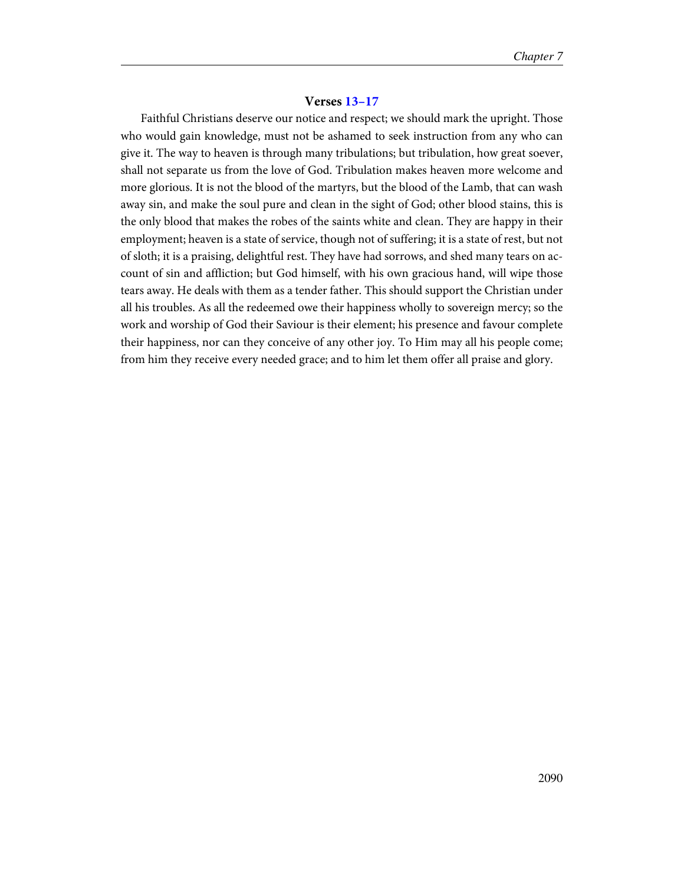# **Verses [13–17](http://www.ccel.org/study/Bible:Rev.7.13-Rev.7.17)**

Faithful Christians deserve our notice and respect; we should mark the upright. Those who would gain knowledge, must not be ashamed to seek instruction from any who can give it. The way to heaven is through many tribulations; but tribulation, how great soever, shall not separate us from the love of God. Tribulation makes heaven more welcome and more glorious. It is not the blood of the martyrs, but the blood of the Lamb, that can wash away sin, and make the soul pure and clean in the sight of God; other blood stains, this is the only blood that makes the robes of the saints white and clean. They are happy in their employment; heaven is a state of service, though not of suffering; it is a state of rest, but not of sloth; it is a praising, delightful rest. They have had sorrows, and shed many tears on account of sin and affliction; but God himself, with his own gracious hand, will wipe those tears away. He deals with them as a tender father. This should support the Christian under all his troubles. As all the redeemed owe their happiness wholly to sovereign mercy; so the work and worship of God their Saviour is their element; his presence and favour complete their happiness, nor can they conceive of any other joy. To Him may all his people come; from him they receive every needed grace; and to him let them offer all praise and glory.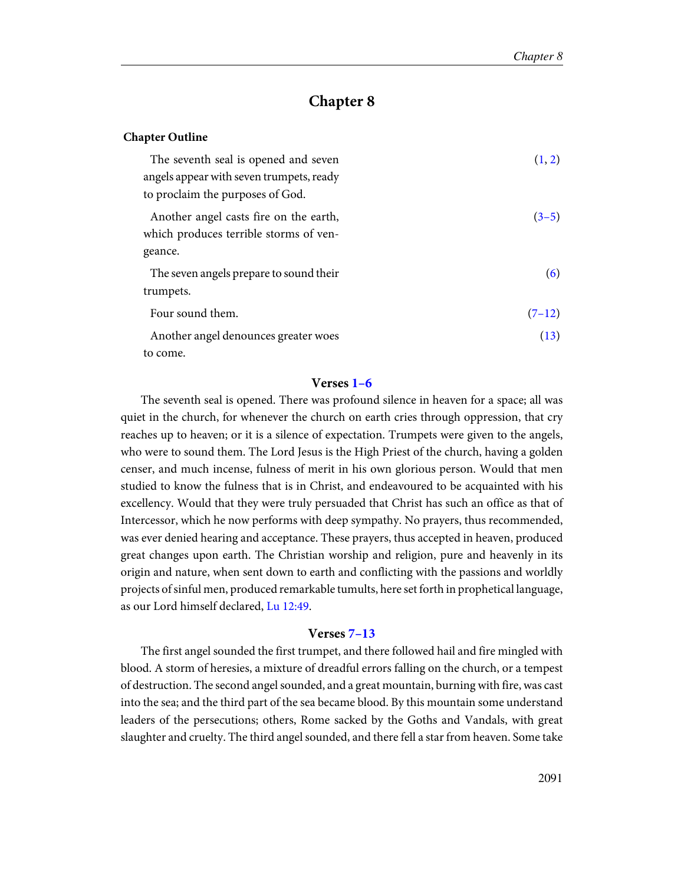## **Chapter Outline**

| The seventh seal is opened and seven     | (1, 2)   |
|------------------------------------------|----------|
| angels appear with seven trumpets, ready |          |
| to proclaim the purposes of God.         |          |
| Another angel casts fire on the earth,   | $(3-5)$  |
| which produces terrible storms of ven-   |          |
| geance.                                  |          |
| The seven angels prepare to sound their  | (6)      |
| trumpets.                                |          |
| Four sound them.                         | $(7-12)$ |
| Another angel denounces greater woes     | (13)     |
| to come.                                 |          |

# **Verses [1–6](http://www.ccel.org/study/Bible:Rev.8.1-Rev.8.6)**

The seventh seal is opened. There was profound silence in heaven for a space; all was quiet in the church, for whenever the church on earth cries through oppression, that cry reaches up to heaven; or it is a silence of expectation. Trumpets were given to the angels, who were to sound them. The Lord Jesus is the High Priest of the church, having a golden censer, and much incense, fulness of merit in his own glorious person. Would that men studied to know the fulness that is in Christ, and endeavoured to be acquainted with his excellency. Would that they were truly persuaded that Christ has such an office as that of Intercessor, which he now performs with deep sympathy. No prayers, thus recommended, was ever denied hearing and acceptance. These prayers, thus accepted in heaven, produced great changes upon earth. The Christian worship and religion, pure and heavenly in its origin and nature, when sent down to earth and conflicting with the passions and worldly projects of sinful men, produced remarkable tumults, here set forth in prophetical language, as our Lord himself declared, [Lu 12:49.](http://www.ccel.org/study/Bible:Luke.12.49)

### **Verses [7–13](http://www.ccel.org/study/Bible:Rev.8.7-Rev.8.13)**

The first angel sounded the first trumpet, and there followed hail and fire mingled with blood. A storm of heresies, a mixture of dreadful errors falling on the church, or a tempest of destruction. The second angel sounded, and a great mountain, burning with fire, was cast into the sea; and the third part of the sea became blood. By this mountain some understand leaders of the persecutions; others, Rome sacked by the Goths and Vandals, with great slaughter and cruelty. The third angel sounded, and there fell a star from heaven. Some take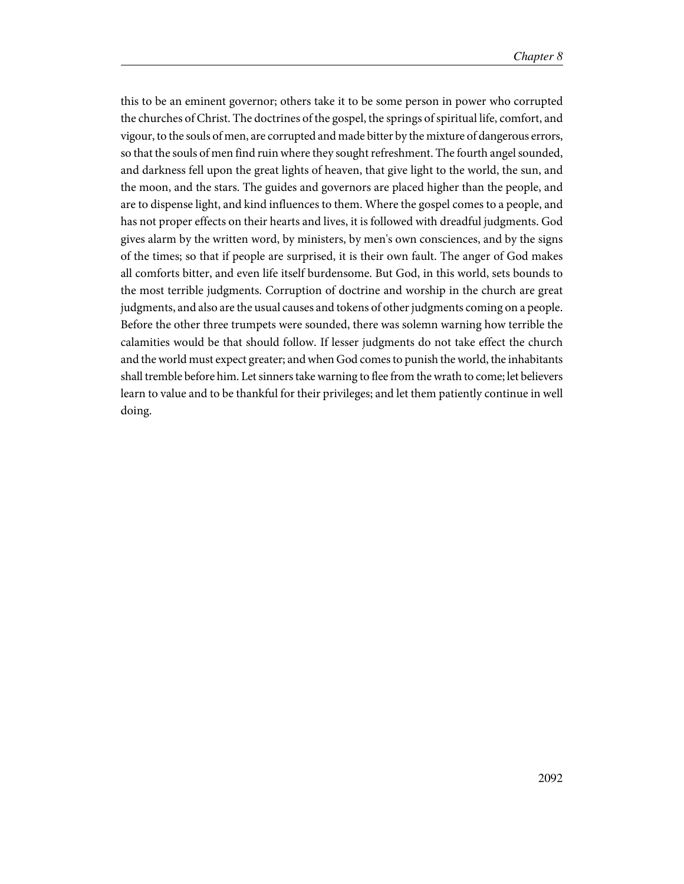this to be an eminent governor; others take it to be some person in power who corrupted the churches of Christ. The doctrines of the gospel, the springs of spiritual life, comfort, and vigour, to the souls of men, are corrupted and made bitter by the mixture of dangerous errors, so that the souls of men find ruin where they sought refreshment. The fourth angel sounded, and darkness fell upon the great lights of heaven, that give light to the world, the sun, and the moon, and the stars. The guides and governors are placed higher than the people, and are to dispense light, and kind influences to them. Where the gospel comes to a people, and has not proper effects on their hearts and lives, it is followed with dreadful judgments. God gives alarm by the written word, by ministers, by men's own consciences, and by the signs of the times; so that if people are surprised, it is their own fault. The anger of God makes all comforts bitter, and even life itself burdensome. But God, in this world, sets bounds to the most terrible judgments. Corruption of doctrine and worship in the church are great judgments, and also are the usual causes and tokens of other judgments coming on a people. Before the other three trumpets were sounded, there was solemn warning how terrible the calamities would be that should follow. If lesser judgments do not take effect the church and the world must expect greater; and when God comes to punish the world, the inhabitants shall tremble before him. Let sinners take warning to flee from the wrath to come; let believers learn to value and to be thankful for their privileges; and let them patiently continue in well doing.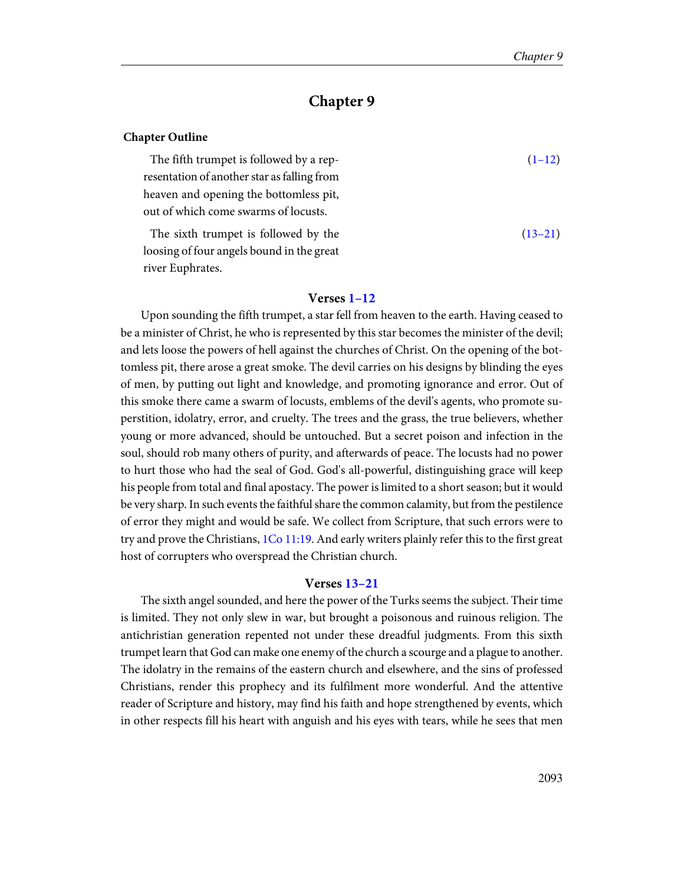### **Chapter Outline**

river Euphrates.

| The fifth trumpet is followed by a rep-     | $(1-12)$  |
|---------------------------------------------|-----------|
| resentation of another star as falling from |           |
| heaven and opening the bottomless pit,      |           |
| out of which come swarms of locusts.        |           |
| The sixth trumpet is followed by the        | $(13-21)$ |
| loosing of four angels bound in the great   |           |

### **Verses [1–12](http://www.ccel.org/study/Bible:Rev.9.1-Rev.9.12)**

Upon sounding the fifth trumpet, a star fell from heaven to the earth. Having ceased to be a minister of Christ, he who is represented by this star becomes the minister of the devil; and lets loose the powers of hell against the churches of Christ. On the opening of the bottomless pit, there arose a great smoke. The devil carries on his designs by blinding the eyes of men, by putting out light and knowledge, and promoting ignorance and error. Out of this smoke there came a swarm of locusts, emblems of the devil's agents, who promote superstition, idolatry, error, and cruelty. The trees and the grass, the true believers, whether young or more advanced, should be untouched. But a secret poison and infection in the soul, should rob many others of purity, and afterwards of peace. The locusts had no power to hurt those who had the seal of God. God's all-powerful, distinguishing grace will keep his people from total and final apostacy. The power is limited to a short season; but it would be very sharp. In such events the faithful share the common calamity, but from the pestilence of error they might and would be safe. We collect from Scripture, that such errors were to try and prove the Christians, [1Co 11:19.](http://www.ccel.org/study/Bible:1Cor.11.19) And early writers plainly refer this to the first great host of corrupters who overspread the Christian church.

#### **Verses [13–21](http://www.ccel.org/study/Bible:Rev.9.13-Rev.9.21)**

The sixth angel sounded, and here the power of the Turks seems the subject. Their time is limited. They not only slew in war, but brought a poisonous and ruinous religion. The antichristian generation repented not under these dreadful judgments. From this sixth trumpet learn that God can make one enemy of the church a scourge and a plague to another. The idolatry in the remains of the eastern church and elsewhere, and the sins of professed Christians, render this prophecy and its fulfilment more wonderful. And the attentive reader of Scripture and history, may find his faith and hope strengthened by events, which in other respects fill his heart with anguish and his eyes with tears, while he sees that men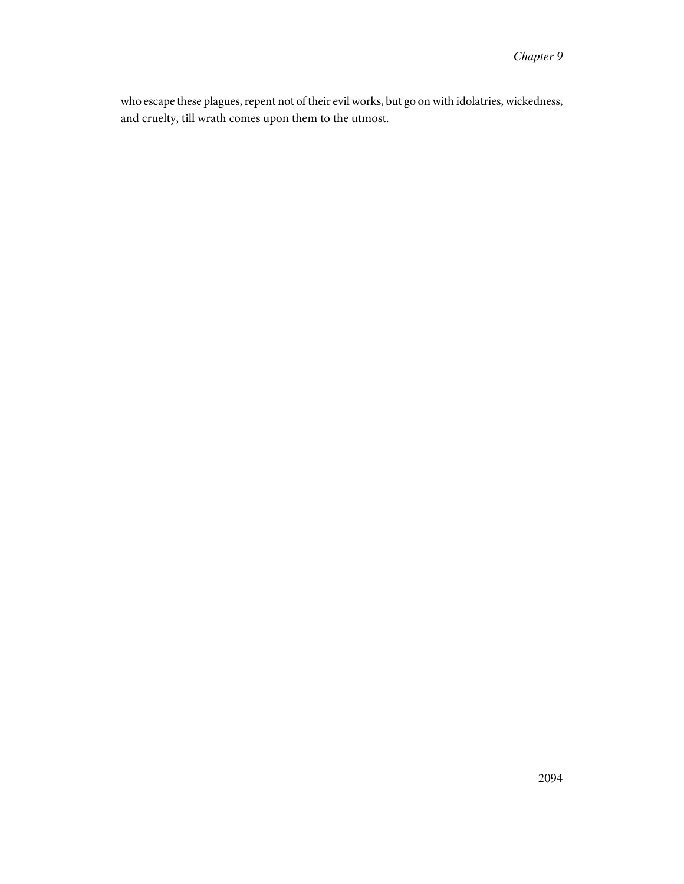who escape these plagues, repent not of their evil works, but go on with idolatries, wickedness, and cruelty, till wrath comes upon them to the utmost.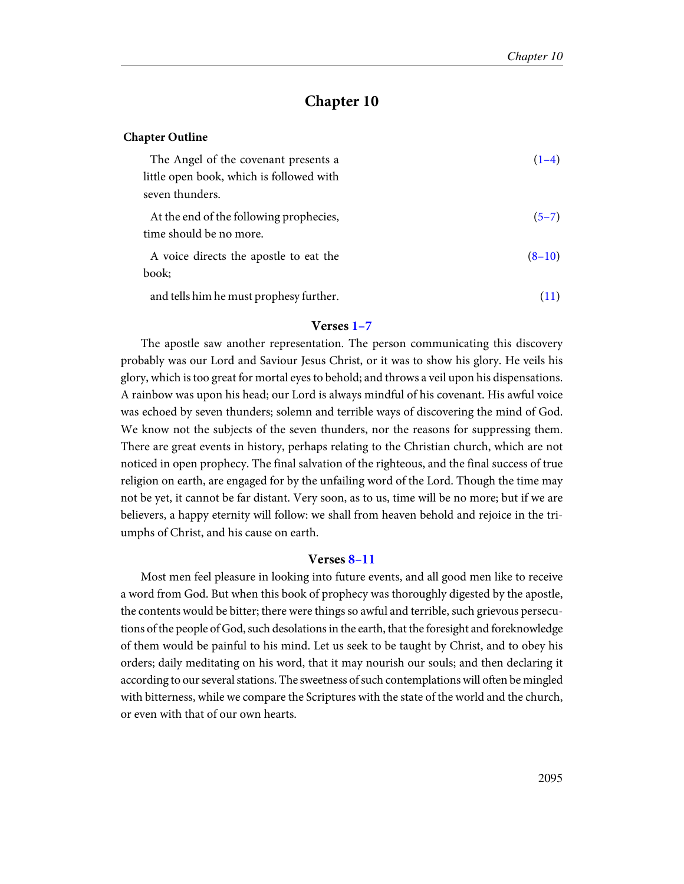### **Chapter Outline**

| The Angel of the covenant presents a     | $(1-4)$  |
|------------------------------------------|----------|
| little open book, which is followed with |          |
| seven thunders.                          |          |
| At the end of the following prophecies,  | $(5-7)$  |
| time should be no more.                  |          |
| A voice directs the apostle to eat the   | $(8-10)$ |
| book;                                    |          |
| and tells him he must prophesy further.  | (11)     |

### **Verses [1–7](http://www.ccel.org/study/Bible:Rev.10.1-Rev.10.7)**

The apostle saw another representation. The person communicating this discovery probably was our Lord and Saviour Jesus Christ, or it was to show his glory. He veils his glory, which is too great for mortal eyes to behold; and throws a veil upon his dispensations. A rainbow was upon his head; our Lord is always mindful of his covenant. His awful voice was echoed by seven thunders; solemn and terrible ways of discovering the mind of God. We know not the subjects of the seven thunders, nor the reasons for suppressing them. There are great events in history, perhaps relating to the Christian church, which are not noticed in open prophecy. The final salvation of the righteous, and the final success of true religion on earth, are engaged for by the unfailing word of the Lord. Though the time may not be yet, it cannot be far distant. Very soon, as to us, time will be no more; but if we are believers, a happy eternity will follow: we shall from heaven behold and rejoice in the triumphs of Christ, and his cause on earth.

#### **Verses [8–11](http://www.ccel.org/study/Bible:Rev.10.8-Rev.10.11)**

Most men feel pleasure in looking into future events, and all good men like to receive a word from God. But when this book of prophecy was thoroughly digested by the apostle, the contents would be bitter; there were things so awful and terrible, such grievous persecutions of the people of God, such desolations in the earth, that the foresight and foreknowledge of them would be painful to his mind. Let us seek to be taught by Christ, and to obey his orders; daily meditating on his word, that it may nourish our souls; and then declaring it according to our several stations. The sweetness of such contemplations will often be mingled with bitterness, while we compare the Scriptures with the state of the world and the church, or even with that of our own hearts.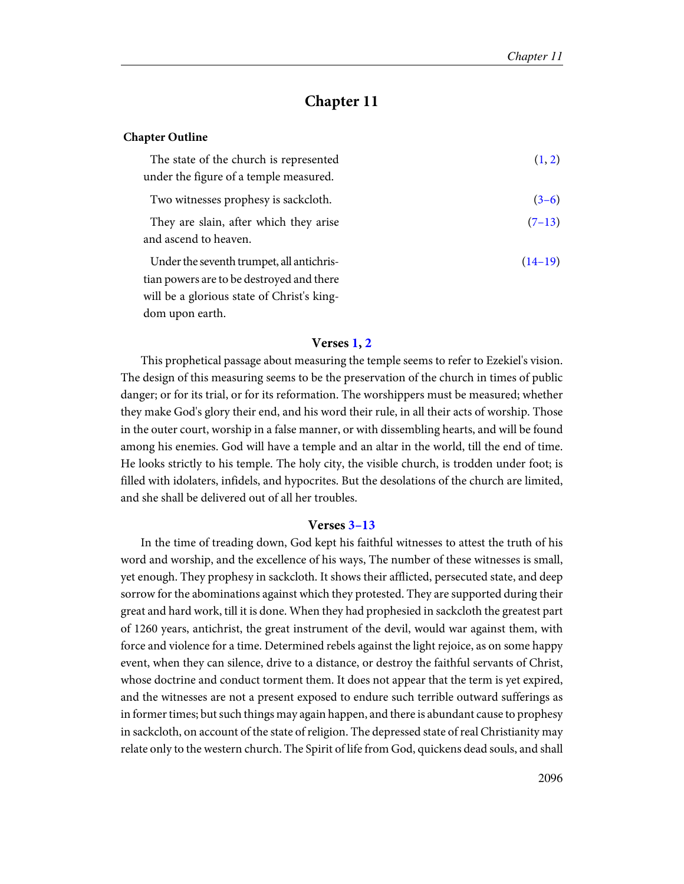#### **Chapter Outline**

| The state of the church is represented<br>under the figure of a temple measured.                                                     | (1, 2)    |
|--------------------------------------------------------------------------------------------------------------------------------------|-----------|
| Two witnesses prophesy is sackcloth.                                                                                                 | $(3-6)$   |
| They are slain, after which they arise<br>and ascend to heaven.                                                                      | $(7-13)$  |
| Under the seventh trumpet, all antichris-<br>tian powers are to be destroyed and there<br>will be a glorious state of Christ's king- | $(14-19)$ |
| dom upon earth.                                                                                                                      |           |

# **Verses [1](http://www.ccel.org/study/Bible:Rev.11.1), [2](http://www.ccel.org/study/Bible:Rev.11.2)**

This prophetical passage about measuring the temple seems to refer to Ezekiel's vision. The design of this measuring seems to be the preservation of the church in times of public danger; or for its trial, or for its reformation. The worshippers must be measured; whether they make God's glory their end, and his word their rule, in all their acts of worship. Those in the outer court, worship in a false manner, or with dissembling hearts, and will be found among his enemies. God will have a temple and an altar in the world, till the end of time. He looks strictly to his temple. The holy city, the visible church, is trodden under foot; is filled with idolaters, infidels, and hypocrites. But the desolations of the church are limited, and she shall be delivered out of all her troubles.

## **Verses [3–13](http://www.ccel.org/study/Bible:Rev.11.3-Rev.11.13)**

In the time of treading down, God kept his faithful witnesses to attest the truth of his word and worship, and the excellence of his ways, The number of these witnesses is small, yet enough. They prophesy in sackcloth. It shows their afflicted, persecuted state, and deep sorrow for the abominations against which they protested. They are supported during their great and hard work, till it is done. When they had prophesied in sackcloth the greatest part of 1260 years, antichrist, the great instrument of the devil, would war against them, with force and violence for a time. Determined rebels against the light rejoice, as on some happy event, when they can silence, drive to a distance, or destroy the faithful servants of Christ, whose doctrine and conduct torment them. It does not appear that the term is yet expired, and the witnesses are not a present exposed to endure such terrible outward sufferings as in former times; but such things may again happen, and there is abundant cause to prophesy in sackcloth, on account of the state of religion. The depressed state of real Christianity may relate only to the western church. The Spirit of life from God, quickens dead souls, and shall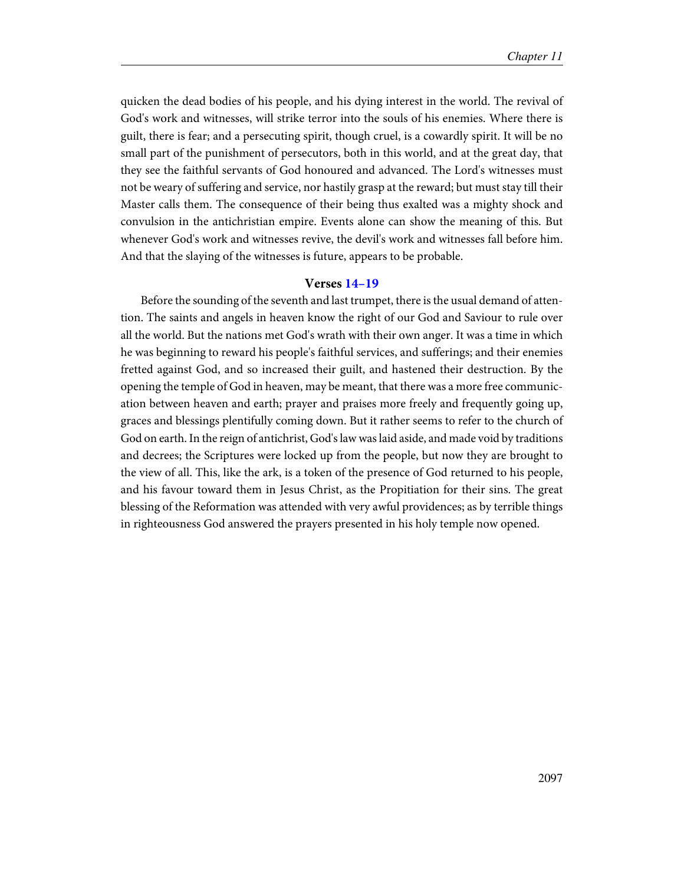quicken the dead bodies of his people, and his dying interest in the world. The revival of God's work and witnesses, will strike terror into the souls of his enemies. Where there is guilt, there is fear; and a persecuting spirit, though cruel, is a cowardly spirit. It will be no small part of the punishment of persecutors, both in this world, and at the great day, that they see the faithful servants of God honoured and advanced. The Lord's witnesses must not be weary of suffering and service, nor hastily grasp at the reward; but must stay till their Master calls them. The consequence of their being thus exalted was a mighty shock and convulsion in the antichristian empire. Events alone can show the meaning of this. But whenever God's work and witnesses revive, the devil's work and witnesses fall before him. And that the slaying of the witnesses is future, appears to be probable.

## **Verses [14–19](http://www.ccel.org/study/Bible:Rev.11.14-Rev.11.19)**

Before the sounding of the seventh and last trumpet, there is the usual demand of attention. The saints and angels in heaven know the right of our God and Saviour to rule over all the world. But the nations met God's wrath with their own anger. It was a time in which he was beginning to reward his people's faithful services, and sufferings; and their enemies fretted against God, and so increased their guilt, and hastened their destruction. By the opening the temple of God in heaven, may be meant, that there was a more free communication between heaven and earth; prayer and praises more freely and frequently going up, graces and blessings plentifully coming down. But it rather seems to refer to the church of God on earth. In the reign of antichrist, God's law was laid aside, and made void by traditions and decrees; the Scriptures were locked up from the people, but now they are brought to the view of all. This, like the ark, is a token of the presence of God returned to his people, and his favour toward them in Jesus Christ, as the Propitiation for their sins. The great blessing of the Reformation was attended with very awful providences; as by terrible things in righteousness God answered the prayers presented in his holy temple now opened.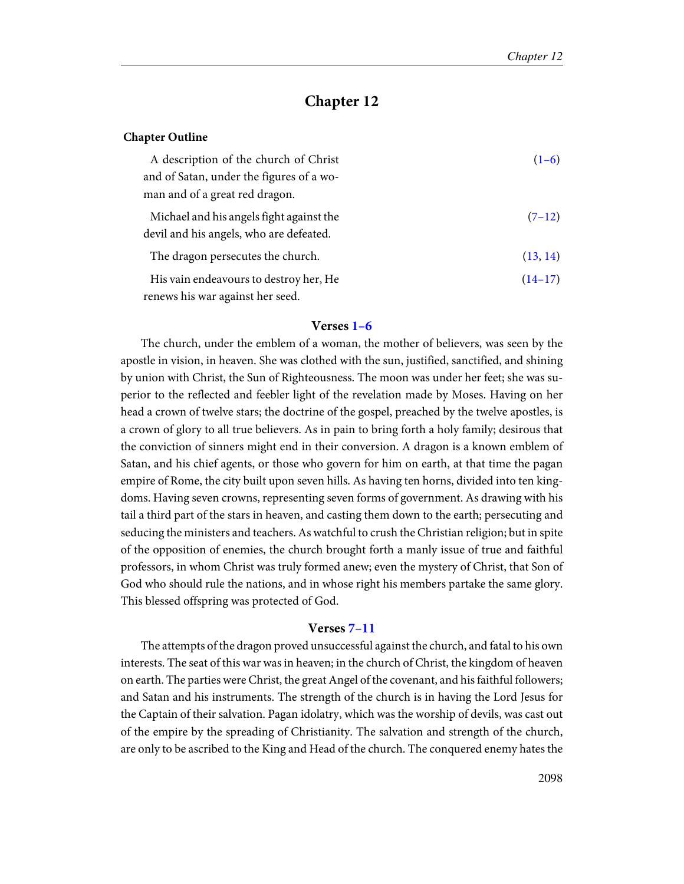### **Chapter Outline**

| A description of the church of Christ                                               | $(1-6)$   |
|-------------------------------------------------------------------------------------|-----------|
| and of Satan, under the figures of a wo-                                            |           |
| man and of a great red dragon.                                                      |           |
| Michael and his angels fight against the<br>devil and his angels, who are defeated. | $(7-12)$  |
| The dragon persecutes the church.                                                   | (13, 14)  |
| His vain endeavours to destroy her, He<br>renews his war against her seed.          | $(14-17)$ |

### **Verses [1–6](http://www.ccel.org/study/Bible:Rev.12.1-Rev.12.6)**

The church, under the emblem of a woman, the mother of believers, was seen by the apostle in vision, in heaven. She was clothed with the sun, justified, sanctified, and shining by union with Christ, the Sun of Righteousness. The moon was under her feet; she was superior to the reflected and feebler light of the revelation made by Moses. Having on her head a crown of twelve stars; the doctrine of the gospel, preached by the twelve apostles, is a crown of glory to all true believers. As in pain to bring forth a holy family; desirous that the conviction of sinners might end in their conversion. A dragon is a known emblem of Satan, and his chief agents, or those who govern for him on earth, at that time the pagan empire of Rome, the city built upon seven hills. As having ten horns, divided into ten kingdoms. Having seven crowns, representing seven forms of government. As drawing with his tail a third part of the stars in heaven, and casting them down to the earth; persecuting and seducing the ministers and teachers. As watchful to crush the Christian religion; but in spite of the opposition of enemies, the church brought forth a manly issue of true and faithful professors, in whom Christ was truly formed anew; even the mystery of Christ, that Son of God who should rule the nations, and in whose right his members partake the same glory. This blessed offspring was protected of God.

### **Verses [7–11](http://www.ccel.org/study/Bible:Rev.12.7-Rev.12.11)**

The attempts of the dragon proved unsuccessful against the church, and fatal to his own interests. The seat of this war was in heaven; in the church of Christ, the kingdom of heaven on earth. The parties were Christ, the great Angel of the covenant, and his faithful followers; and Satan and his instruments. The strength of the church is in having the Lord Jesus for the Captain of their salvation. Pagan idolatry, which was the worship of devils, was cast out of the empire by the spreading of Christianity. The salvation and strength of the church, are only to be ascribed to the King and Head of the church. The conquered enemy hates the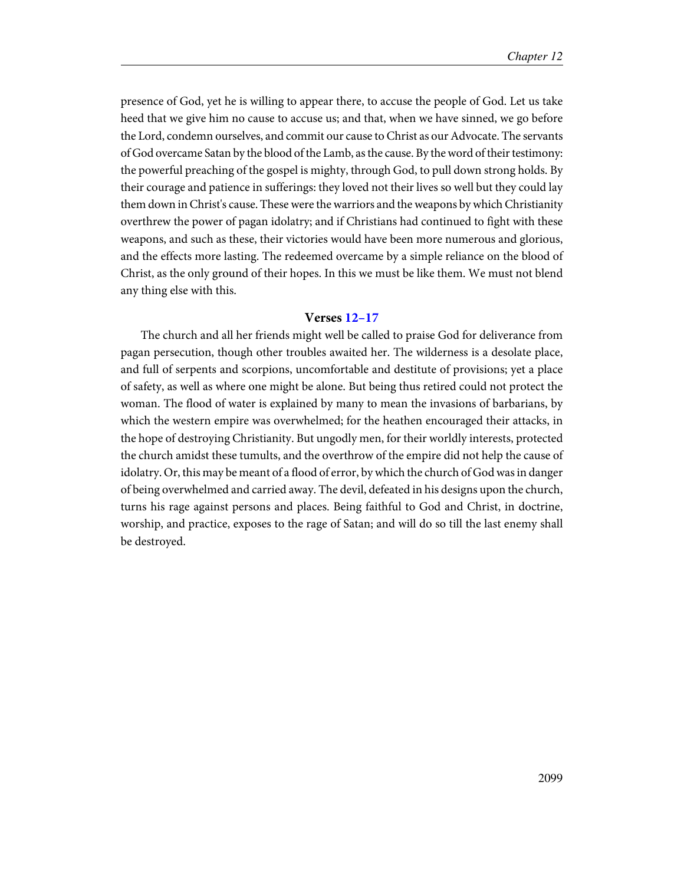presence of God, yet he is willing to appear there, to accuse the people of God. Let us take heed that we give him no cause to accuse us; and that, when we have sinned, we go before the Lord, condemn ourselves, and commit our cause to Christ as our Advocate. The servants of God overcame Satan by the blood of the Lamb, as the cause. By the word of their testimony: the powerful preaching of the gospel is mighty, through God, to pull down strong holds. By their courage and patience in sufferings: they loved not their lives so well but they could lay them down in Christ's cause. These were the warriors and the weapons by which Christianity overthrew the power of pagan idolatry; and if Christians had continued to fight with these weapons, and such as these, their victories would have been more numerous and glorious, and the effects more lasting. The redeemed overcame by a simple reliance on the blood of Christ, as the only ground of their hopes. In this we must be like them. We must not blend any thing else with this.

## **Verses [12–17](http://www.ccel.org/study/Bible:Rev.12.12-Rev.12.17)**

The church and all her friends might well be called to praise God for deliverance from pagan persecution, though other troubles awaited her. The wilderness is a desolate place, and full of serpents and scorpions, uncomfortable and destitute of provisions; yet a place of safety, as well as where one might be alone. But being thus retired could not protect the woman. The flood of water is explained by many to mean the invasions of barbarians, by which the western empire was overwhelmed; for the heathen encouraged their attacks, in the hope of destroying Christianity. But ungodly men, for their worldly interests, protected the church amidst these tumults, and the overthrow of the empire did not help the cause of idolatry. Or, this may be meant of a flood of error, by which the church of God was in danger of being overwhelmed and carried away. The devil, defeated in his designs upon the church, turns his rage against persons and places. Being faithful to God and Christ, in doctrine, worship, and practice, exposes to the rage of Satan; and will do so till the last enemy shall be destroyed.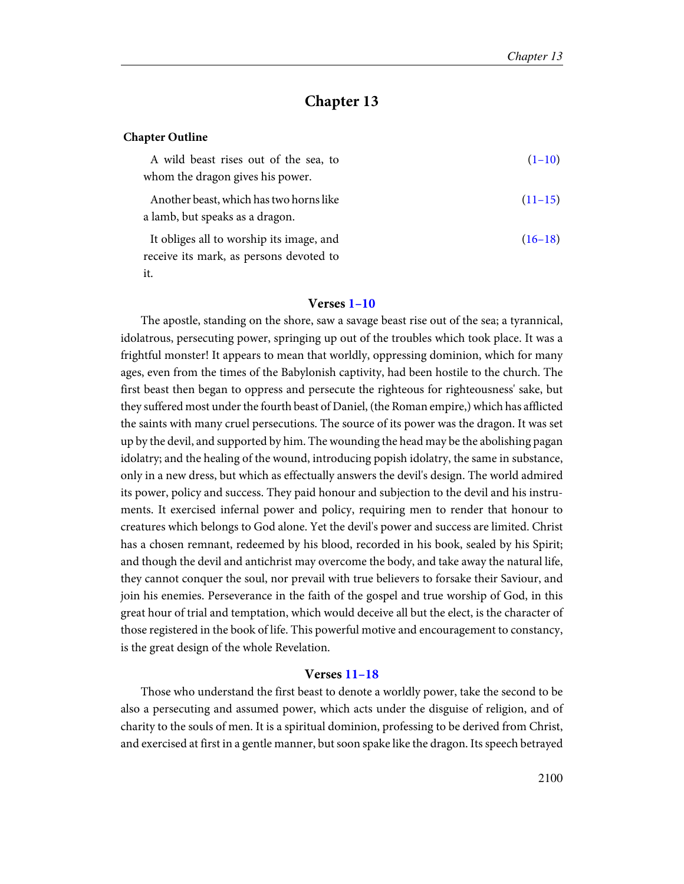### **Chapter Outline**

| A wild beast rises out of the sea, to                                                      | $(1-10)$  |
|--------------------------------------------------------------------------------------------|-----------|
| whom the dragon gives his power.                                                           |           |
| Another beast, which has two horns like<br>a lamb, but speaks as a dragon.                 | $(11-15)$ |
| It obliges all to worship its image, and<br>receive its mark, as persons devoted to<br>it. | $(16-18)$ |

### **Verses [1–10](http://www.ccel.org/study/Bible:Rev.13.1-Rev.13.10)**

The apostle, standing on the shore, saw a savage beast rise out of the sea; a tyrannical, idolatrous, persecuting power, springing up out of the troubles which took place. It was a frightful monster! It appears to mean that worldly, oppressing dominion, which for many ages, even from the times of the Babylonish captivity, had been hostile to the church. The first beast then began to oppress and persecute the righteous for righteousness' sake, but they suffered most under the fourth beast of Daniel, (the Roman empire,) which has afflicted the saints with many cruel persecutions. The source of its power was the dragon. It was set up by the devil, and supported by him. The wounding the head may be the abolishing pagan idolatry; and the healing of the wound, introducing popish idolatry, the same in substance, only in a new dress, but which as effectually answers the devil's design. The world admired its power, policy and success. They paid honour and subjection to the devil and his instruments. It exercised infernal power and policy, requiring men to render that honour to creatures which belongs to God alone. Yet the devil's power and success are limited. Christ has a chosen remnant, redeemed by his blood, recorded in his book, sealed by his Spirit; and though the devil and antichrist may overcome the body, and take away the natural life, they cannot conquer the soul, nor prevail with true believers to forsake their Saviour, and join his enemies. Perseverance in the faith of the gospel and true worship of God, in this great hour of trial and temptation, which would deceive all but the elect, is the character of those registered in the book of life. This powerful motive and encouragement to constancy, is the great design of the whole Revelation.

#### **Verses [11–18](http://www.ccel.org/study/Bible:Rev.13.11-Rev.13.18)**

Those who understand the first beast to denote a worldly power, take the second to be also a persecuting and assumed power, which acts under the disguise of religion, and of charity to the souls of men. It is a spiritual dominion, professing to be derived from Christ, and exercised at first in a gentle manner, but soon spake like the dragon. Its speech betrayed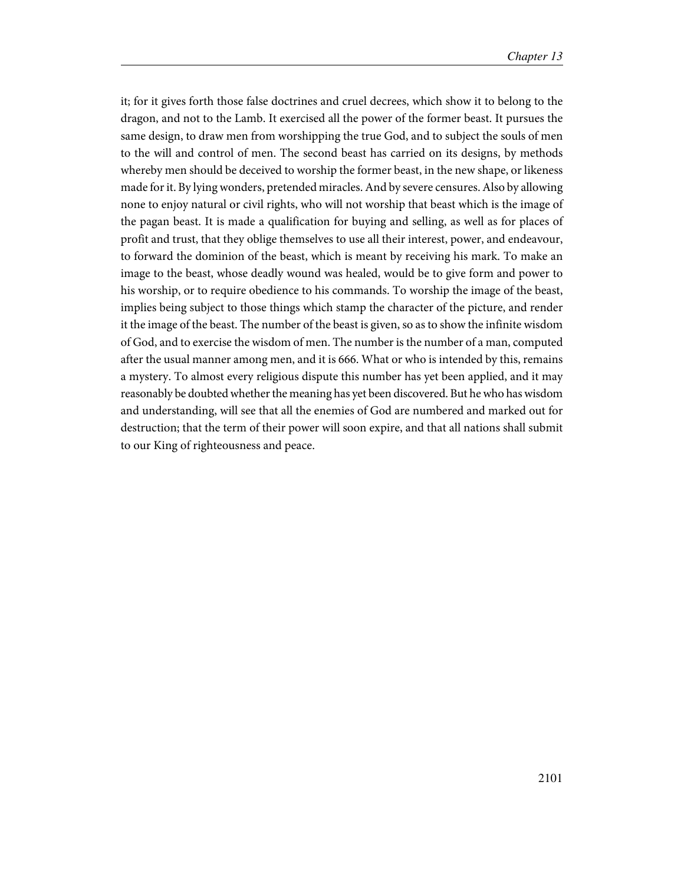it; for it gives forth those false doctrines and cruel decrees, which show it to belong to the dragon, and not to the Lamb. It exercised all the power of the former beast. It pursues the same design, to draw men from worshipping the true God, and to subject the souls of men to the will and control of men. The second beast has carried on its designs, by methods whereby men should be deceived to worship the former beast, in the new shape, or likeness made for it. By lying wonders, pretended miracles. And by severe censures. Also by allowing none to enjoy natural or civil rights, who will not worship that beast which is the image of the pagan beast. It is made a qualification for buying and selling, as well as for places of profit and trust, that they oblige themselves to use all their interest, power, and endeavour, to forward the dominion of the beast, which is meant by receiving his mark. To make an image to the beast, whose deadly wound was healed, would be to give form and power to his worship, or to require obedience to his commands. To worship the image of the beast, implies being subject to those things which stamp the character of the picture, and render it the image of the beast. The number of the beast is given, so as to show the infinite wisdom of God, and to exercise the wisdom of men. The number is the number of a man, computed after the usual manner among men, and it is 666. What or who is intended by this, remains a mystery. To almost every religious dispute this number has yet been applied, and it may reasonably be doubted whether the meaning has yet been discovered. But he who has wisdom and understanding, will see that all the enemies of God are numbered and marked out for destruction; that the term of their power will soon expire, and that all nations shall submit to our King of righteousness and peace.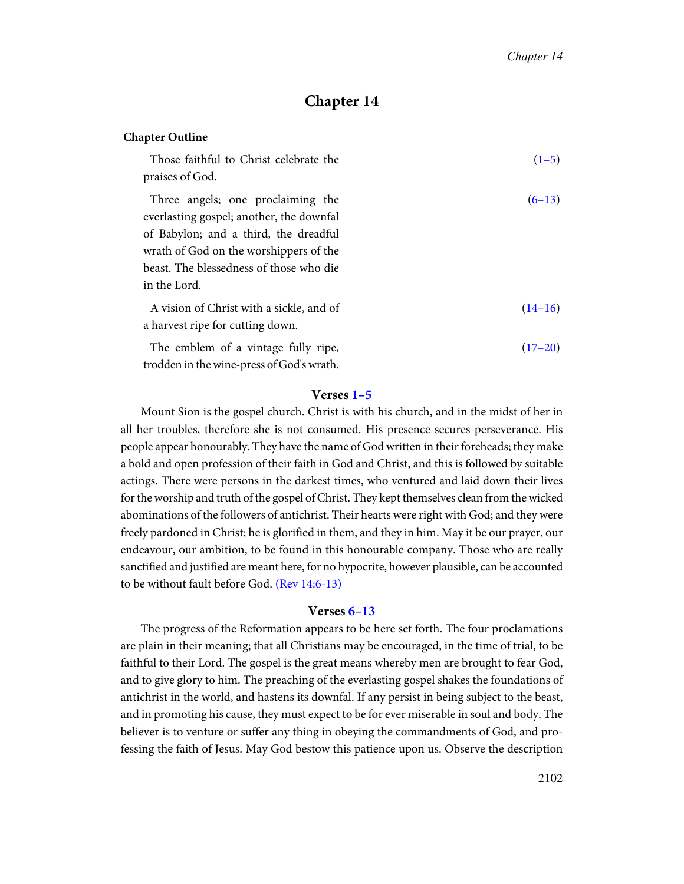### **Chapter Outline**

| Those faithful to Christ celebrate the<br>praises of God.                                                                                                                                                                   | $(1-5)$   |
|-----------------------------------------------------------------------------------------------------------------------------------------------------------------------------------------------------------------------------|-----------|
| Three angels; one proclaiming the<br>everlasting gospel; another, the downfal<br>of Babylon; and a third, the dreadful<br>wrath of God on the worshippers of the<br>beast. The blessedness of those who die<br>in the Lord. | $(6-13)$  |
| A vision of Christ with a sickle, and of<br>a harvest ripe for cutting down.                                                                                                                                                | $(14-16)$ |
| The emblem of a vintage fully ripe,<br>trodden in the wine-press of God's wrath.                                                                                                                                            | $(17-20)$ |

### **Verses [1–5](http://www.ccel.org/study/Bible:Rev.14.1-Rev.14.5)**

Mount Sion is the gospel church. Christ is with his church, and in the midst of her in all her troubles, therefore she is not consumed. His presence secures perseverance. His people appear honourably. They have the name of God written in their foreheads; they make a bold and open profession of their faith in God and Christ, and this is followed by suitable actings. There were persons in the darkest times, who ventured and laid down their lives for the worship and truth of the gospel of Christ. They kept themselves clean from the wicked abominations of the followers of antichrist. Their hearts were right with God; and they were freely pardoned in Christ; he is glorified in them, and they in him. May it be our prayer, our endeavour, our ambition, to be found in this honourable company. Those who are really sanctified and justified are meant here, for no hypocrite, however plausible, can be accounted to be without fault before God. [\(Rev 14:6-13\)](http://www.ccel.org/study/Bible:Rev.14.6-Rev.14.13)

#### **Verses [6–13](http://www.ccel.org/study/Bible:Rev.14.6-Rev.14.13)**

The progress of the Reformation appears to be here set forth. The four proclamations are plain in their meaning; that all Christians may be encouraged, in the time of trial, to be faithful to their Lord. The gospel is the great means whereby men are brought to fear God, and to give glory to him. The preaching of the everlasting gospel shakes the foundations of antichrist in the world, and hastens its downfal. If any persist in being subject to the beast, and in promoting his cause, they must expect to be for ever miserable in soul and body. The believer is to venture or suffer any thing in obeying the commandments of God, and professing the faith of Jesus. May God bestow this patience upon us. Observe the description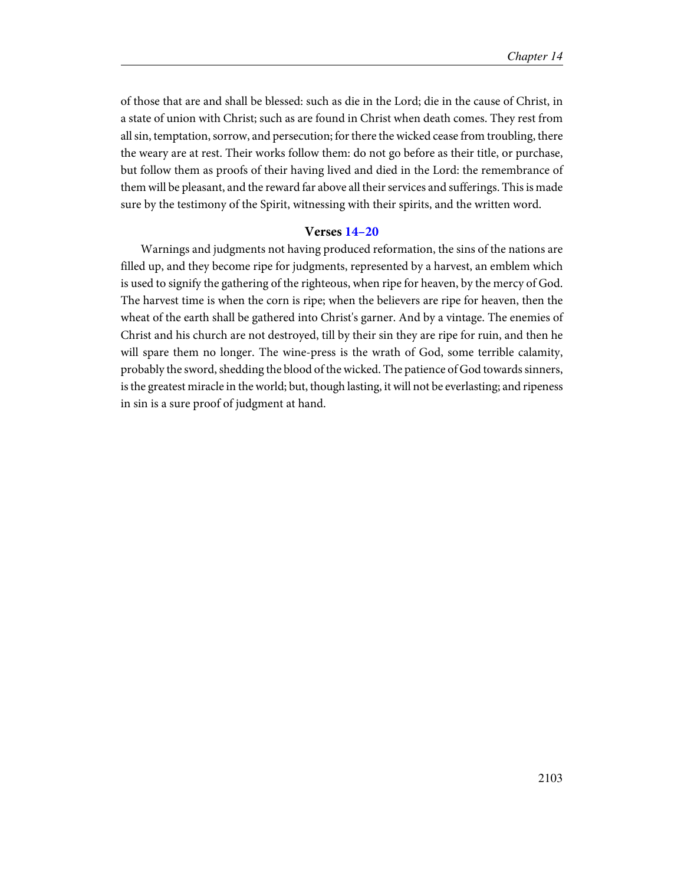of those that are and shall be blessed: such as die in the Lord; die in the cause of Christ, in a state of union with Christ; such as are found in Christ when death comes. They rest from all sin, temptation, sorrow, and persecution; for there the wicked cease from troubling, there the weary are at rest. Their works follow them: do not go before as their title, or purchase, but follow them as proofs of their having lived and died in the Lord: the remembrance of them will be pleasant, and the reward far above all their services and sufferings. This is made sure by the testimony of the Spirit, witnessing with their spirits, and the written word.

### **Verses [14–20](http://www.ccel.org/study/Bible:Rev.14.14-Rev.14.20)**

Warnings and judgments not having produced reformation, the sins of the nations are filled up, and they become ripe for judgments, represented by a harvest, an emblem which is used to signify the gathering of the righteous, when ripe for heaven, by the mercy of God. The harvest time is when the corn is ripe; when the believers are ripe for heaven, then the wheat of the earth shall be gathered into Christ's garner. And by a vintage. The enemies of Christ and his church are not destroyed, till by their sin they are ripe for ruin, and then he will spare them no longer. The wine-press is the wrath of God, some terrible calamity, probably the sword, shedding the blood of the wicked. The patience of God towards sinners, is the greatest miracle in the world; but, though lasting, it will not be everlasting; and ripeness in sin is a sure proof of judgment at hand.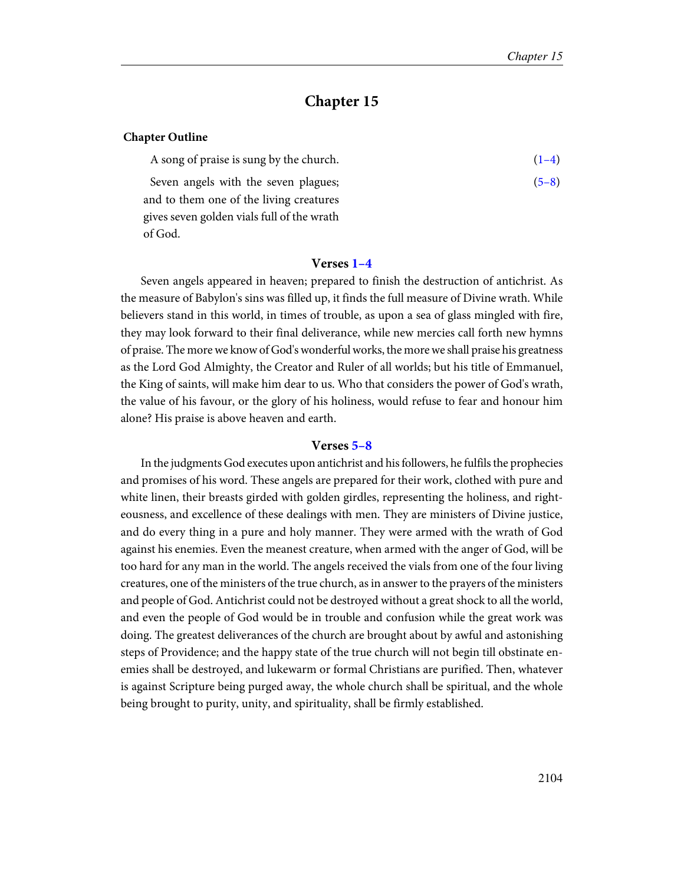## **Chapter Outline**

| A song of praise is sung by the church.    | $(1-4)$ |
|--------------------------------------------|---------|
| Seven angels with the seven plagues;       | $(5-8)$ |
| and to them one of the living creatures    |         |
| gives seven golden vials full of the wrath |         |
| of God.                                    |         |

## **Verses [1–4](http://www.ccel.org/study/Bible:Rev.15.1-Rev.15.4)**

Seven angels appeared in heaven; prepared to finish the destruction of antichrist. As the measure of Babylon's sins was filled up, it finds the full measure of Divine wrath. While believers stand in this world, in times of trouble, as upon a sea of glass mingled with fire, they may look forward to their final deliverance, while new mercies call forth new hymns of praise. The more we know of God's wonderful works, the more we shall praise his greatness as the Lord God Almighty, the Creator and Ruler of all worlds; but his title of Emmanuel, the King of saints, will make him dear to us. Who that considers the power of God's wrath, the value of his favour, or the glory of his holiness, would refuse to fear and honour him alone? His praise is above heaven and earth.

#### **Verses [5–8](http://www.ccel.org/study/Bible:Rev.15.5-Rev.15.8)**

In the judgments God executes upon antichrist and his followers, he fulfils the prophecies and promises of his word. These angels are prepared for their work, clothed with pure and white linen, their breasts girded with golden girdles, representing the holiness, and righteousness, and excellence of these dealings with men. They are ministers of Divine justice, and do every thing in a pure and holy manner. They were armed with the wrath of God against his enemies. Even the meanest creature, when armed with the anger of God, will be too hard for any man in the world. The angels received the vials from one of the four living creatures, one of the ministers of the true church, as in answer to the prayers of the ministers and people of God. Antichrist could not be destroyed without a great shock to all the world, and even the people of God would be in trouble and confusion while the great work was doing. The greatest deliverances of the church are brought about by awful and astonishing steps of Providence; and the happy state of the true church will not begin till obstinate enemies shall be destroyed, and lukewarm or formal Christians are purified. Then, whatever is against Scripture being purged away, the whole church shall be spiritual, and the whole being brought to purity, unity, and spirituality, shall be firmly established.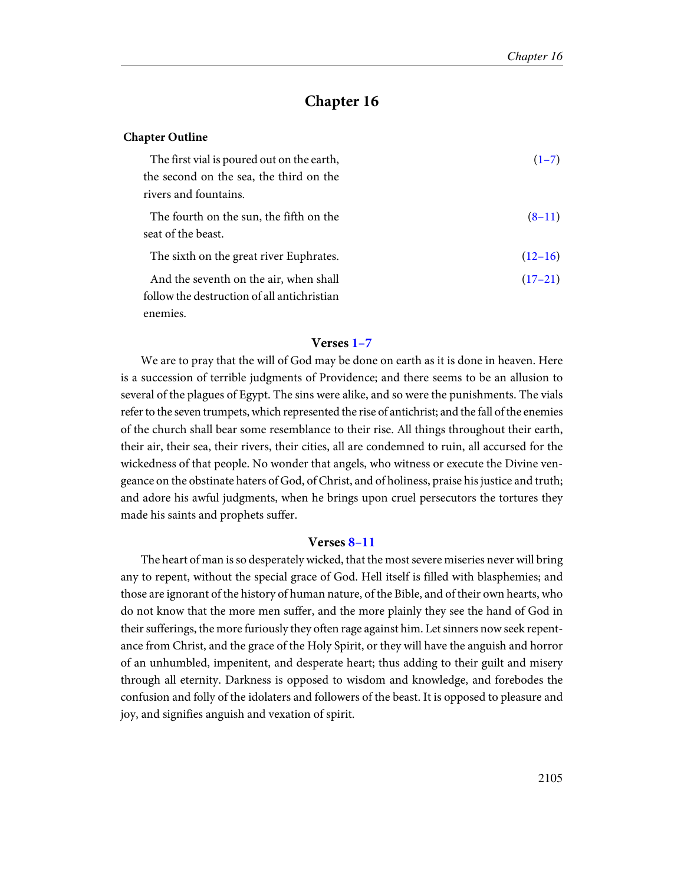## **Chapter Outline**

| The first vial is poured out on the earth,  | $(1-7)$   |
|---------------------------------------------|-----------|
| the second on the sea, the third on the     |           |
| rivers and fountains.                       |           |
| The fourth on the sun, the fifth on the     | $(8-11)$  |
| seat of the beast.                          |           |
| The sixth on the great river Euphrates.     | $(12-16)$ |
| And the seventh on the air, when shall      | $(17-21)$ |
| follow the destruction of all antichristian |           |
| enemies.                                    |           |

## **Verses [1–7](http://www.ccel.org/study/Bible:Rev.16.1-Rev.16.7)**

We are to pray that the will of God may be done on earth as it is done in heaven. Here is a succession of terrible judgments of Providence; and there seems to be an allusion to several of the plagues of Egypt. The sins were alike, and so were the punishments. The vials refer to the seven trumpets, which represented the rise of antichrist; and the fall of the enemies of the church shall bear some resemblance to their rise. All things throughout their earth, their air, their sea, their rivers, their cities, all are condemned to ruin, all accursed for the wickedness of that people. No wonder that angels, who witness or execute the Divine vengeance on the obstinate haters of God, of Christ, and of holiness, praise his justice and truth; and adore his awful judgments, when he brings upon cruel persecutors the tortures they made his saints and prophets suffer.

## **Verses [8–11](http://www.ccel.org/study/Bible:Rev.16.8-Rev.16.11)**

The heart of man is so desperately wicked, that the most severe miseries never will bring any to repent, without the special grace of God. Hell itself is filled with blasphemies; and those are ignorant of the history of human nature, of the Bible, and of their own hearts, who do not know that the more men suffer, and the more plainly they see the hand of God in their sufferings, the more furiously they often rage against him. Let sinners now seek repentance from Christ, and the grace of the Holy Spirit, or they will have the anguish and horror of an unhumbled, impenitent, and desperate heart; thus adding to their guilt and misery through all eternity. Darkness is opposed to wisdom and knowledge, and forebodes the confusion and folly of the idolaters and followers of the beast. It is opposed to pleasure and joy, and signifies anguish and vexation of spirit.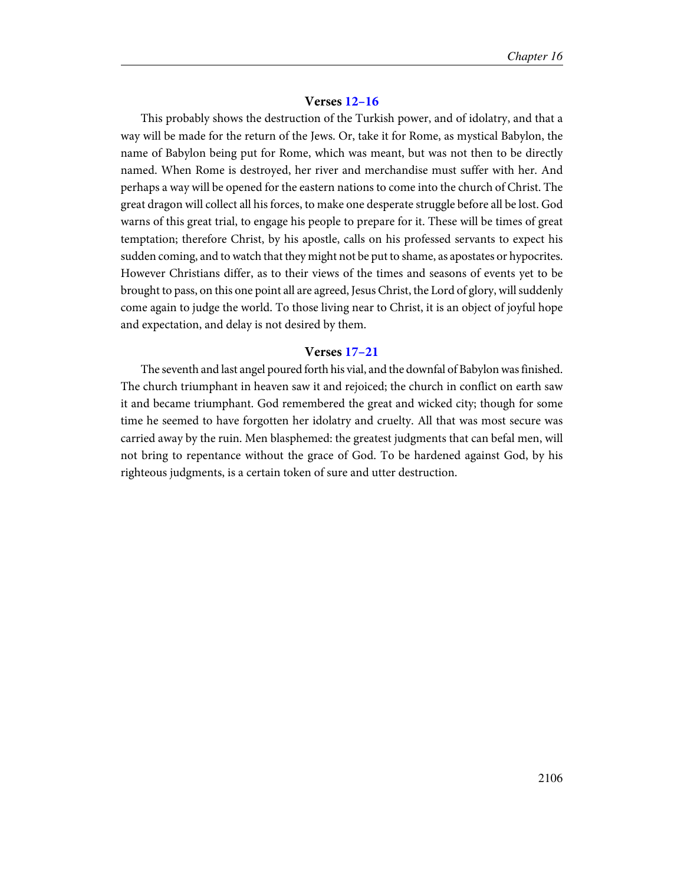# **Verses [12–16](http://www.ccel.org/study/Bible:Rev.16.12-Rev.16.16)**

This probably shows the destruction of the Turkish power, and of idolatry, and that a way will be made for the return of the Jews. Or, take it for Rome, as mystical Babylon, the name of Babylon being put for Rome, which was meant, but was not then to be directly named. When Rome is destroyed, her river and merchandise must suffer with her. And perhaps a way will be opened for the eastern nations to come into the church of Christ. The great dragon will collect all his forces, to make one desperate struggle before all be lost. God warns of this great trial, to engage his people to prepare for it. These will be times of great temptation; therefore Christ, by his apostle, calls on his professed servants to expect his sudden coming, and to watch that they might not be put to shame, as apostates or hypocrites. However Christians differ, as to their views of the times and seasons of events yet to be brought to pass, on this one point all are agreed, Jesus Christ, the Lord of glory, will suddenly come again to judge the world. To those living near to Christ, it is an object of joyful hope and expectation, and delay is not desired by them.

### **Verses [17–21](http://www.ccel.org/study/Bible:Rev.16.17-Rev.16.21)**

The seventh and last angel poured forth his vial, and the downfal of Babylon was finished. The church triumphant in heaven saw it and rejoiced; the church in conflict on earth saw it and became triumphant. God remembered the great and wicked city; though for some time he seemed to have forgotten her idolatry and cruelty. All that was most secure was carried away by the ruin. Men blasphemed: the greatest judgments that can befal men, will not bring to repentance without the grace of God. To be hardened against God, by his righteous judgments, is a certain token of sure and utter destruction.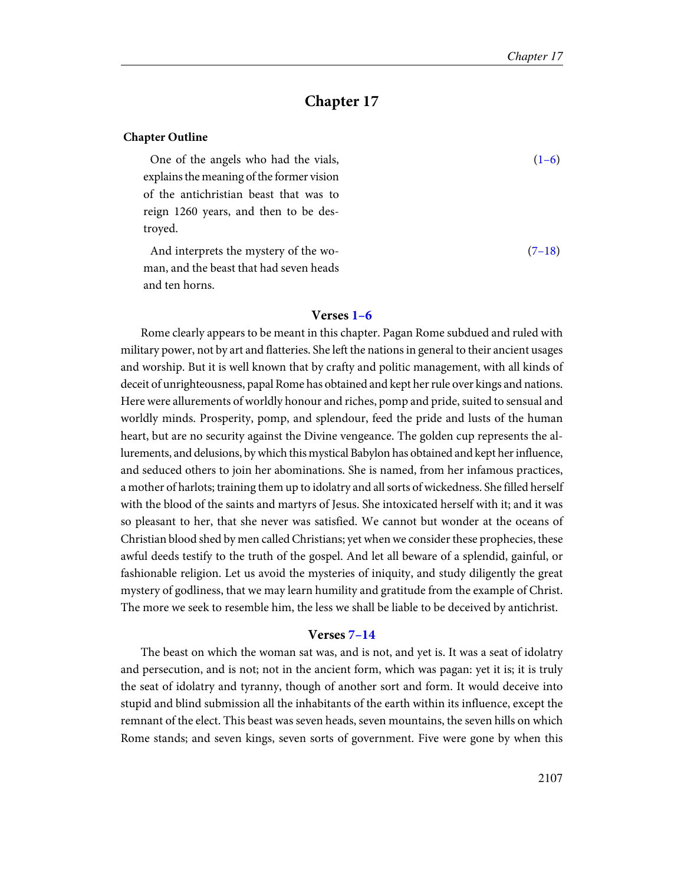### **Chapter Outline**

One of the angels who had the vials,  $(1-6)$ explains the meaning of the former vision of the antichristian beast that was to reign 1260 years, and then to be destroyed.

And interprets the mystery of the wo- [\(7–18\)](http://www.ccel.org/study/Bible:Rev.17.7-Rev.17.18) man, and the beast that had seven heads and ten horns.

# **Verses [1–6](http://www.ccel.org/study/Bible:Rev.17.1-Rev.17.6)**

Rome clearly appears to be meant in this chapter. Pagan Rome subdued and ruled with military power, not by art and flatteries. She left the nations in general to their ancient usages and worship. But it is well known that by crafty and politic management, with all kinds of deceit of unrighteousness, papal Rome has obtained and kept her rule over kings and nations. Here were allurements of worldly honour and riches, pomp and pride, suited to sensual and worldly minds. Prosperity, pomp, and splendour, feed the pride and lusts of the human heart, but are no security against the Divine vengeance. The golden cup represents the allurements, and delusions, by which this mystical Babylon has obtained and kept her influence, and seduced others to join her abominations. She is named, from her infamous practices, a mother of harlots; training them up to idolatry and all sorts of wickedness. She filled herself with the blood of the saints and martyrs of Jesus. She intoxicated herself with it; and it was so pleasant to her, that she never was satisfied. We cannot but wonder at the oceans of Christian blood shed by men called Christians; yet when we consider these prophecies, these awful deeds testify to the truth of the gospel. And let all beware of a splendid, gainful, or fashionable religion. Let us avoid the mysteries of iniquity, and study diligently the great mystery of godliness, that we may learn humility and gratitude from the example of Christ. The more we seek to resemble him, the less we shall be liable to be deceived by antichrist.

## **Verses [7–14](http://www.ccel.org/study/Bible:Rev.17.7-Rev.17.14)**

The beast on which the woman sat was, and is not, and yet is. It was a seat of idolatry and persecution, and is not; not in the ancient form, which was pagan: yet it is; it is truly the seat of idolatry and tyranny, though of another sort and form. It would deceive into stupid and blind submission all the inhabitants of the earth within its influence, except the remnant of the elect. This beast was seven heads, seven mountains, the seven hills on which Rome stands; and seven kings, seven sorts of government. Five were gone by when this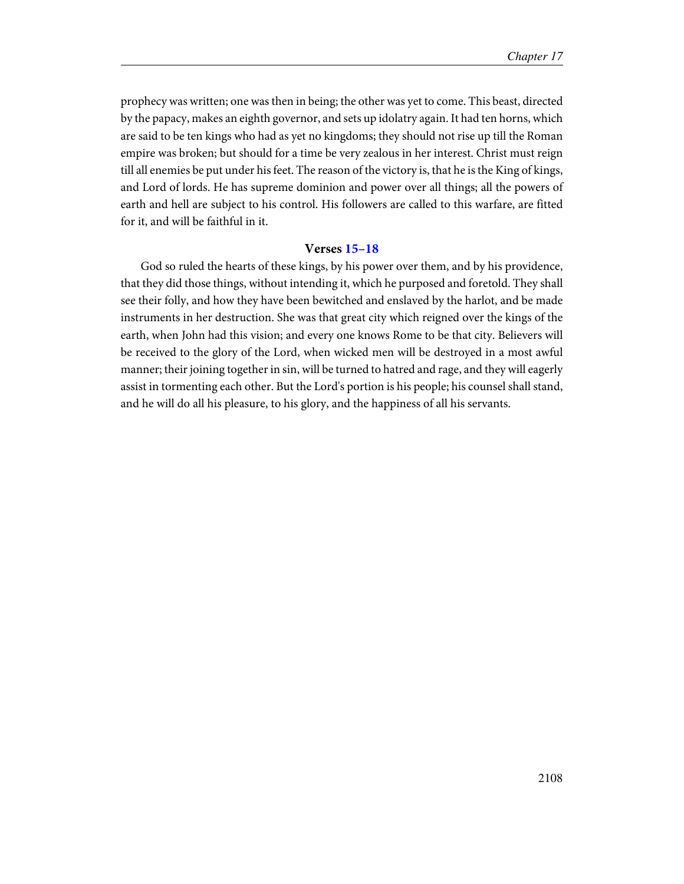prophecy was written; one was then in being; the other was yet to come. This beast, directed by the papacy, makes an eighth governor, and sets up idolatry again. It had ten horns, which are said to be ten kings who had as yet no kingdoms; they should not rise up till the Roman empire was broken; but should for a time be very zealous in her interest. Christ must reign till all enemies be put under his feet. The reason of the victory is, that he is the King of kings, and Lord of lords. He has supreme dominion and power over all things; all the powers of earth and hell are subject to his control. His followers are called to this warfare, are fitted for it, and will be faithful in it.

# **Verses [15–18](http://www.ccel.org/study/Bible:Rev.17.15-Rev.17.18)**

God so ruled the hearts of these kings, by his power over them, and by his providence, that they did those things, without intending it, which he purposed and foretold. They shall see their folly, and how they have been bewitched and enslaved by the harlot, and be made instruments in her destruction. She was that great city which reigned over the kings of the earth, when John had this vision; and every one knows Rome to be that city. Believers will be received to the glory of the Lord, when wicked men will be destroyed in a most awful manner; their joining together in sin, will be turned to hatred and rage, and they will eagerly assist in tormenting each other. But the Lord's portion is his people; his counsel shall stand, and he will do all his pleasure, to his glory, and the happiness of all his servants.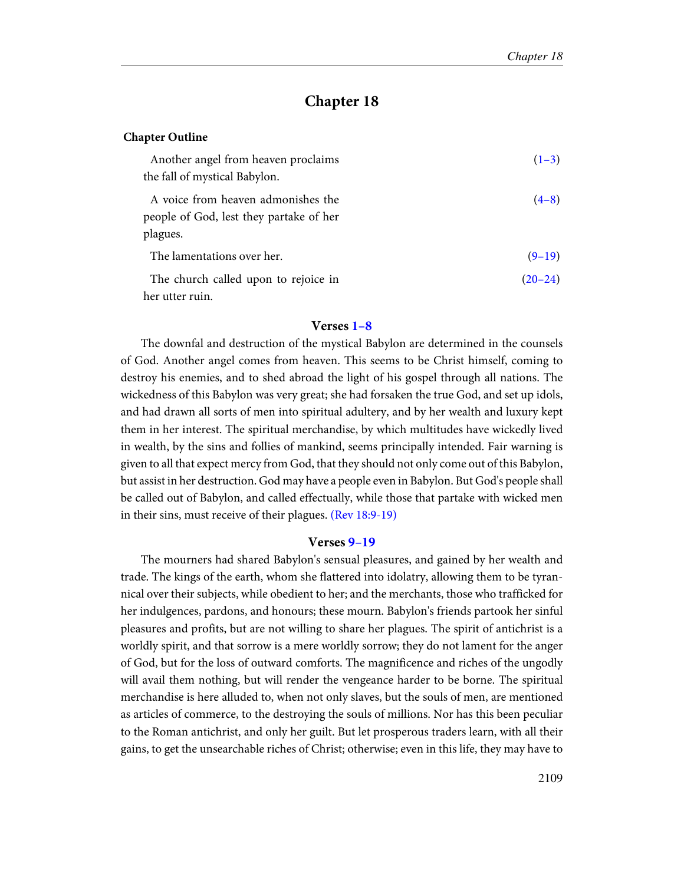#### **Chapter Outline**

| Another angel from heaven proclaims     | $(1-3)$   |
|-----------------------------------------|-----------|
| the fall of mystical Babylon.           |           |
| A voice from heaven admonishes the      | $(4-8)$   |
| people of God, lest they partake of her |           |
| plagues.                                |           |
| The lamentations over her.              | $(9-19)$  |
| The church called upon to rejoice in    | $(20-24)$ |
| her utter ruin.                         |           |

### **Verses [1–8](http://www.ccel.org/study/Bible:Rev.18.1-Rev.18.8)**

The downfal and destruction of the mystical Babylon are determined in the counsels of God. Another angel comes from heaven. This seems to be Christ himself, coming to destroy his enemies, and to shed abroad the light of his gospel through all nations. The wickedness of this Babylon was very great; she had forsaken the true God, and set up idols, and had drawn all sorts of men into spiritual adultery, and by her wealth and luxury kept them in her interest. The spiritual merchandise, by which multitudes have wickedly lived in wealth, by the sins and follies of mankind, seems principally intended. Fair warning is given to all that expect mercy from God, that they should not only come out of this Babylon, but assist in her destruction. God may have a people even in Babylon. But God's people shall be called out of Babylon, and called effectually, while those that partake with wicked men in their sins, must receive of their plagues. [\(Rev 18:9-19\)](http://www.ccel.org/study/Bible:Rev.18.9-Rev.18.19)

#### **Verses [9–19](http://www.ccel.org/study/Bible:Rev.18.9-Rev.18.19)**

The mourners had shared Babylon's sensual pleasures, and gained by her wealth and trade. The kings of the earth, whom she flattered into idolatry, allowing them to be tyrannical over their subjects, while obedient to her; and the merchants, those who trafficked for her indulgences, pardons, and honours; these mourn. Babylon's friends partook her sinful pleasures and profits, but are not willing to share her plagues. The spirit of antichrist is a worldly spirit, and that sorrow is a mere worldly sorrow; they do not lament for the anger of God, but for the loss of outward comforts. The magnificence and riches of the ungodly will avail them nothing, but will render the vengeance harder to be borne. The spiritual merchandise is here alluded to, when not only slaves, but the souls of men, are mentioned as articles of commerce, to the destroying the souls of millions. Nor has this been peculiar to the Roman antichrist, and only her guilt. But let prosperous traders learn, with all their gains, to get the unsearchable riches of Christ; otherwise; even in this life, they may have to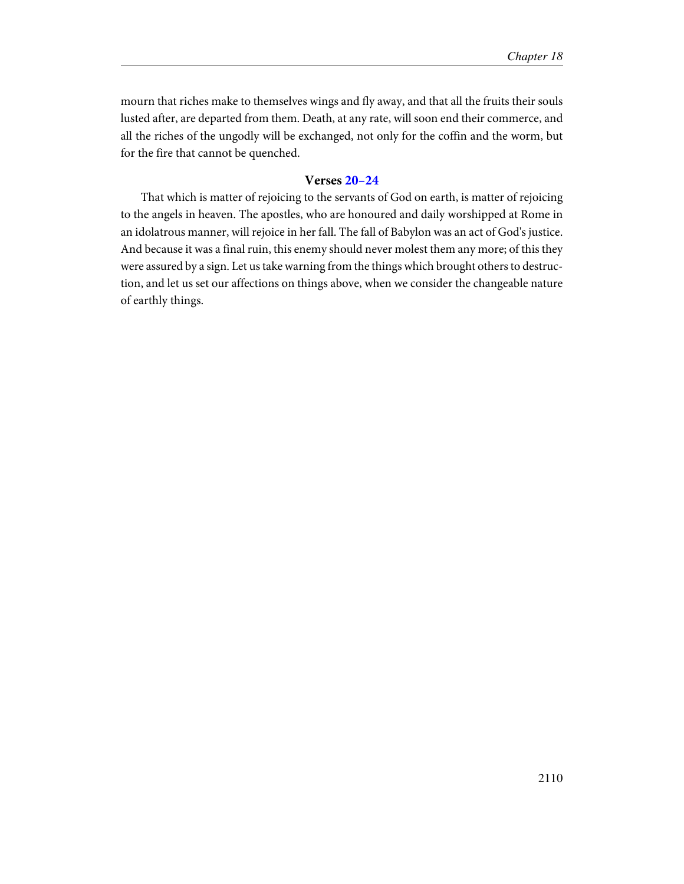mourn that riches make to themselves wings and fly away, and that all the fruits their souls lusted after, are departed from them. Death, at any rate, will soon end their commerce, and all the riches of the ungodly will be exchanged, not only for the coffin and the worm, but for the fire that cannot be quenched.

# **Verses [20–24](http://www.ccel.org/study/Bible:Rev.18.20-Rev.18.24)**

That which is matter of rejoicing to the servants of God on earth, is matter of rejoicing to the angels in heaven. The apostles, who are honoured and daily worshipped at Rome in an idolatrous manner, will rejoice in her fall. The fall of Babylon was an act of God's justice. And because it was a final ruin, this enemy should never molest them any more; of this they were assured by a sign. Let us take warning from the things which brought others to destruction, and let us set our affections on things above, when we consider the changeable nature of earthly things.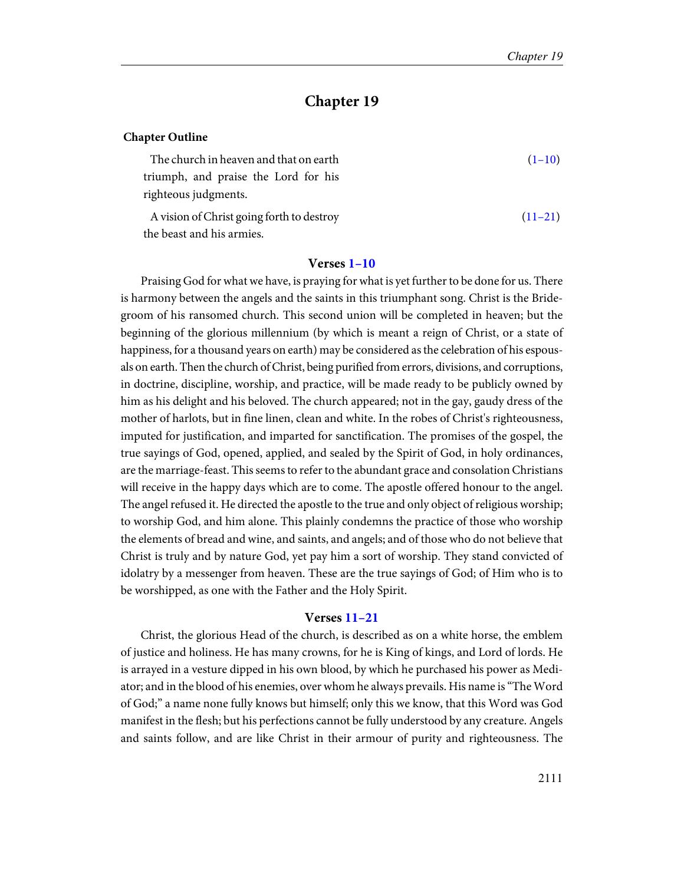### **Chapter Outline**

| The church in heaven and that on earth    | $(1-10)$  |
|-------------------------------------------|-----------|
| triumph, and praise the Lord for his      |           |
| righteous judgments.                      |           |
| A vision of Christ going forth to destroy | $(11-21)$ |
| the beast and his armies.                 |           |

## **Verses [1–10](http://www.ccel.org/study/Bible:Rev.19.1-Rev.19.10)**

Praising God for what we have, is praying for what is yet further to be done for us. There is harmony between the angels and the saints in this triumphant song. Christ is the Bridegroom of his ransomed church. This second union will be completed in heaven; but the beginning of the glorious millennium (by which is meant a reign of Christ, or a state of happiness, for a thousand years on earth) may be considered as the celebration of his espousals on earth. Then the church of Christ, being purified from errors, divisions, and corruptions, in doctrine, discipline, worship, and practice, will be made ready to be publicly owned by him as his delight and his beloved. The church appeared; not in the gay, gaudy dress of the mother of harlots, but in fine linen, clean and white. In the robes of Christ's righteousness, imputed for justification, and imparted for sanctification. The promises of the gospel, the true sayings of God, opened, applied, and sealed by the Spirit of God, in holy ordinances, are the marriage-feast. This seems to refer to the abundant grace and consolation Christians will receive in the happy days which are to come. The apostle offered honour to the angel. The angel refused it. He directed the apostle to the true and only object of religious worship; to worship God, and him alone. This plainly condemns the practice of those who worship the elements of bread and wine, and saints, and angels; and of those who do not believe that Christ is truly and by nature God, yet pay him a sort of worship. They stand convicted of idolatry by a messenger from heaven. These are the true sayings of God; of Him who is to be worshipped, as one with the Father and the Holy Spirit.

#### **Verses [11–21](http://www.ccel.org/study/Bible:Rev.19.11-Rev.19.21)**

Christ, the glorious Head of the church, is described as on a white horse, the emblem of justice and holiness. He has many crowns, for he is King of kings, and Lord of lords. He is arrayed in a vesture dipped in his own blood, by which he purchased his power as Mediator; and in the blood of his enemies, over whom he always prevails. His name is "The Word of God;" a name none fully knows but himself; only this we know, that this Word was God manifest in the flesh; but his perfections cannot be fully understood by any creature. Angels and saints follow, and are like Christ in their armour of purity and righteousness. The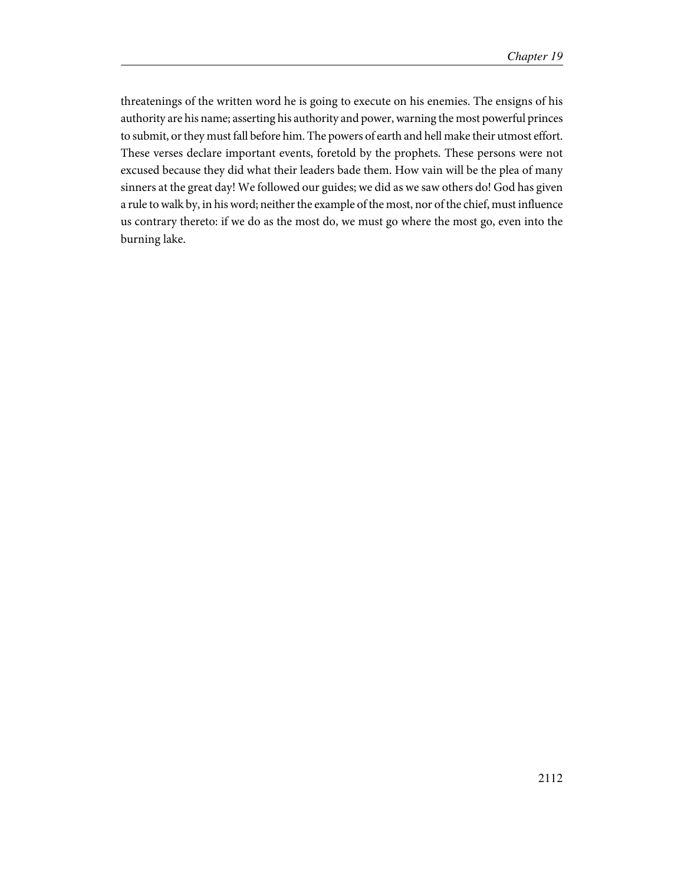threatenings of the written word he is going to execute on his enemies. The ensigns of his authority are his name; asserting his authority and power, warning the most powerful princes to submit, or they must fall before him. The powers of earth and hell make their utmost effort. These verses declare important events, foretold by the prophets. These persons were not excused because they did what their leaders bade them. How vain will be the plea of many sinners at the great day! We followed our guides; we did as we saw others do! God has given a rule to walk by, in his word; neither the example of the most, nor of the chief, must influence us contrary thereto: if we do as the most do, we must go where the most go, even into the burning lake.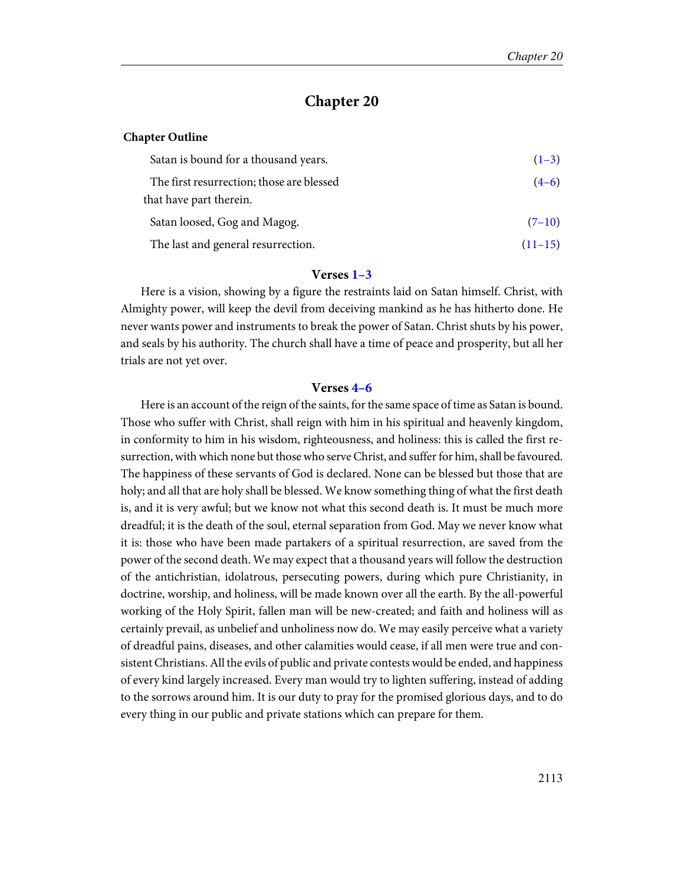#### **Chapter Outline**

| Satan is bound for a thousand years.      | $(1-3)$   |
|-------------------------------------------|-----------|
| The first resurrection; those are blessed | $(4-6)$   |
| that have part therein.                   |           |
| Satan loosed, Gog and Magog.              | $(7-10)$  |
| The last and general resurrection.        | $(11-15)$ |

#### **Verses [1–3](http://www.ccel.org/study/Bible:Rev.20.1-Rev.20.3)**

Here is a vision, showing by a figure the restraints laid on Satan himself. Christ, with Almighty power, will keep the devil from deceiving mankind as he has hitherto done. He never wants power and instruments to break the power of Satan. Christ shuts by his power, and seals by his authority. The church shall have a time of peace and prosperity, but all her trials are not yet over.

## **Verses [4–6](http://www.ccel.org/study/Bible:Rev.20.4-Rev.20.6)**

Here is an account of the reign of the saints, for the same space of time as Satan is bound. Those who suffer with Christ, shall reign with him in his spiritual and heavenly kingdom, in conformity to him in his wisdom, righteousness, and holiness: this is called the first resurrection, with which none but those who serve Christ, and suffer for him, shall be favoured. The happiness of these servants of God is declared. None can be blessed but those that are holy; and all that are holy shall be blessed. We know something thing of what the first death is, and it is very awful; but we know not what this second death is. It must be much more dreadful; it is the death of the soul, eternal separation from God. May we never know what it is: those who have been made partakers of a spiritual resurrection, are saved from the power of the second death. We may expect that a thousand years will follow the destruction of the antichristian, idolatrous, persecuting powers, during which pure Christianity, in doctrine, worship, and holiness, will be made known over all the earth. By the all-powerful working of the Holy Spirit, fallen man will be new-created; and faith and holiness will as certainly prevail, as unbelief and unholiness now do. We may easily perceive what a variety of dreadful pains, diseases, and other calamities would cease, if all men were true and consistent Christians. All the evils of public and private contests would be ended, and happiness of every kind largely increased. Every man would try to lighten suffering, instead of adding to the sorrows around him. It is our duty to pray for the promised glorious days, and to do every thing in our public and private stations which can prepare for them.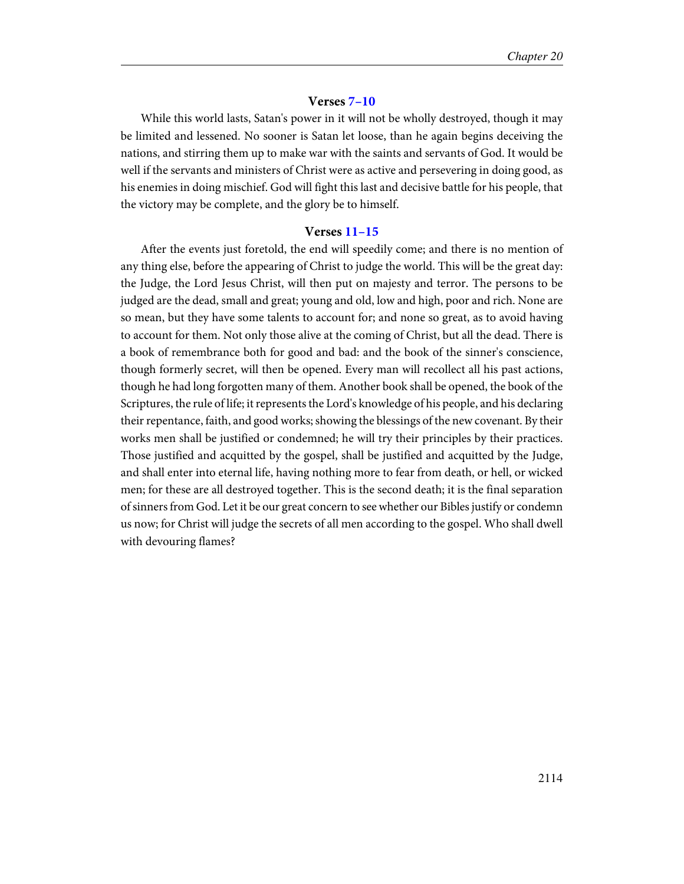## **Verses [7–10](http://www.ccel.org/study/Bible:Rev.20.7-Rev.20.10)**

While this world lasts, Satan's power in it will not be wholly destroyed, though it may be limited and lessened. No sooner is Satan let loose, than he again begins deceiving the nations, and stirring them up to make war with the saints and servants of God. It would be well if the servants and ministers of Christ were as active and persevering in doing good, as his enemies in doing mischief. God will fight this last and decisive battle for his people, that the victory may be complete, and the glory be to himself.

### **Verses [11–15](http://www.ccel.org/study/Bible:Rev.20.11-Rev.20.15)**

After the events just foretold, the end will speedily come; and there is no mention of any thing else, before the appearing of Christ to judge the world. This will be the great day: the Judge, the Lord Jesus Christ, will then put on majesty and terror. The persons to be judged are the dead, small and great; young and old, low and high, poor and rich. None are so mean, but they have some talents to account for; and none so great, as to avoid having to account for them. Not only those alive at the coming of Christ, but all the dead. There is a book of remembrance both for good and bad: and the book of the sinner's conscience, though formerly secret, will then be opened. Every man will recollect all his past actions, though he had long forgotten many of them. Another book shall be opened, the book of the Scriptures, the rule of life; it represents the Lord's knowledge of his people, and his declaring their repentance, faith, and good works; showing the blessings of the new covenant. By their works men shall be justified or condemned; he will try their principles by their practices. Those justified and acquitted by the gospel, shall be justified and acquitted by the Judge, and shall enter into eternal life, having nothing more to fear from death, or hell, or wicked men; for these are all destroyed together. This is the second death; it is the final separation of sinners from God. Let it be our great concern to see whether our Bibles justify or condemn us now; for Christ will judge the secrets of all men according to the gospel. Who shall dwell with devouring flames?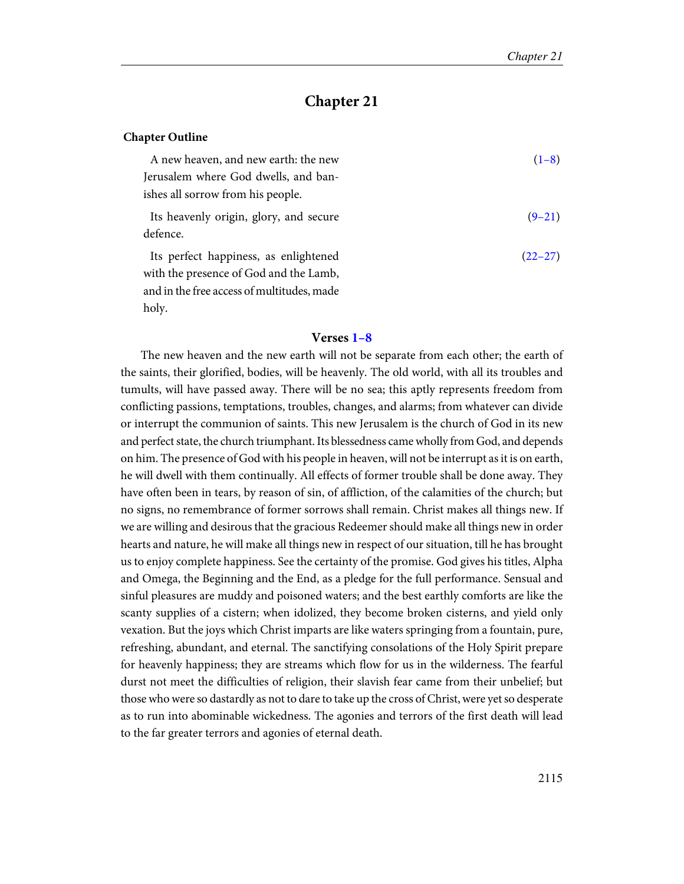### **Chapter Outline**

| A new heaven, and new earth: the new       | $(1-8)$     |
|--------------------------------------------|-------------|
| Jerusalem where God dwells, and ban-       |             |
| ishes all sorrow from his people.          |             |
| Its heavenly origin, glory, and secure     | $(9-21)$    |
| defence.                                   |             |
| Its perfect happiness, as enlightened      | $(22 - 27)$ |
| with the presence of God and the Lamb,     |             |
| and in the free access of multitudes, made |             |

holy.

# **Verses [1–8](http://www.ccel.org/study/Bible:Rev.21.1-Rev.21.8)**

The new heaven and the new earth will not be separate from each other; the earth of the saints, their glorified, bodies, will be heavenly. The old world, with all its troubles and tumults, will have passed away. There will be no sea; this aptly represents freedom from conflicting passions, temptations, troubles, changes, and alarms; from whatever can divide or interrupt the communion of saints. This new Jerusalem is the church of God in its new and perfect state, the church triumphant. Its blessedness came wholly from God, and depends on him. The presence of God with his people in heaven, will not be interrupt as it is on earth, he will dwell with them continually. All effects of former trouble shall be done away. They have often been in tears, by reason of sin, of affliction, of the calamities of the church; but no signs, no remembrance of former sorrows shall remain. Christ makes all things new. If we are willing and desirous that the gracious Redeemer should make all things new in order hearts and nature, he will make all things new in respect of our situation, till he has brought us to enjoy complete happiness. See the certainty of the promise. God gives his titles, Alpha and Omega, the Beginning and the End, as a pledge for the full performance. Sensual and sinful pleasures are muddy and poisoned waters; and the best earthly comforts are like the scanty supplies of a cistern; when idolized, they become broken cisterns, and yield only vexation. But the joys which Christ imparts are like waters springing from a fountain, pure, refreshing, abundant, and eternal. The sanctifying consolations of the Holy Spirit prepare for heavenly happiness; they are streams which flow for us in the wilderness. The fearful durst not meet the difficulties of religion, their slavish fear came from their unbelief; but those who were so dastardly as not to dare to take up the cross of Christ, were yet so desperate as to run into abominable wickedness. The agonies and terrors of the first death will lead to the far greater terrors and agonies of eternal death.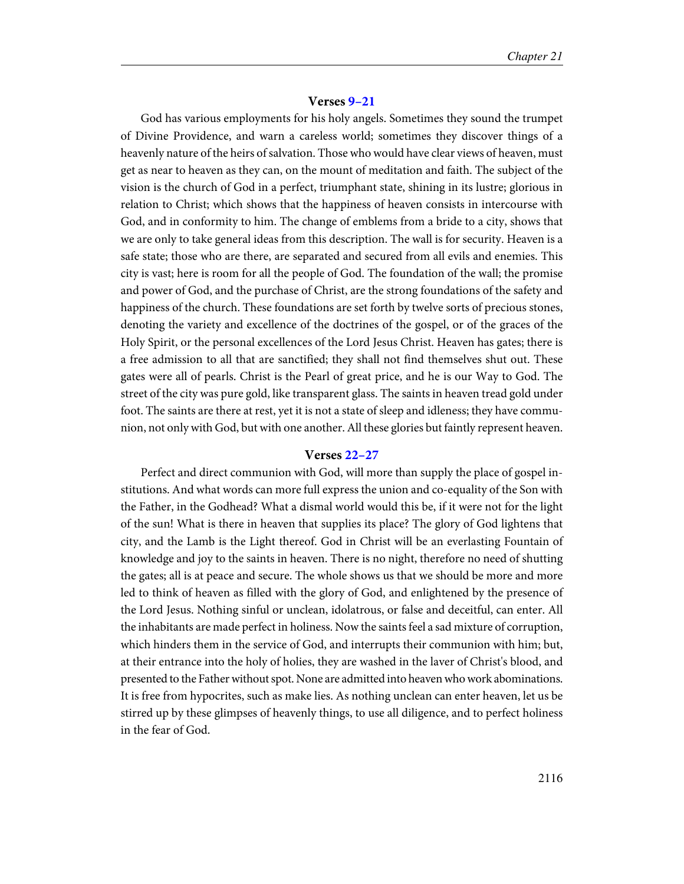# **Verses [9–21](http://www.ccel.org/study/Bible:Rev.21.9-Rev.21.21)**

God has various employments for his holy angels. Sometimes they sound the trumpet of Divine Providence, and warn a careless world; sometimes they discover things of a heavenly nature of the heirs of salvation. Those who would have clear views of heaven, must get as near to heaven as they can, on the mount of meditation and faith. The subject of the vision is the church of God in a perfect, triumphant state, shining in its lustre; glorious in relation to Christ; which shows that the happiness of heaven consists in intercourse with God, and in conformity to him. The change of emblems from a bride to a city, shows that we are only to take general ideas from this description. The wall is for security. Heaven is a safe state; those who are there, are separated and secured from all evils and enemies. This city is vast; here is room for all the people of God. The foundation of the wall; the promise and power of God, and the purchase of Christ, are the strong foundations of the safety and happiness of the church. These foundations are set forth by twelve sorts of precious stones, denoting the variety and excellence of the doctrines of the gospel, or of the graces of the Holy Spirit, or the personal excellences of the Lord Jesus Christ. Heaven has gates; there is a free admission to all that are sanctified; they shall not find themselves shut out. These gates were all of pearls. Christ is the Pearl of great price, and he is our Way to God. The street of the city was pure gold, like transparent glass. The saints in heaven tread gold under foot. The saints are there at rest, yet it is not a state of sleep and idleness; they have communion, not only with God, but with one another. All these glories but faintly represent heaven.

## **Verses [22–27](http://www.ccel.org/study/Bible:Rev.21.22-Rev.21.27)**

Perfect and direct communion with God, will more than supply the place of gospel institutions. And what words can more full express the union and co-equality of the Son with the Father, in the Godhead? What a dismal world would this be, if it were not for the light of the sun! What is there in heaven that supplies its place? The glory of God lightens that city, and the Lamb is the Light thereof. God in Christ will be an everlasting Fountain of knowledge and joy to the saints in heaven. There is no night, therefore no need of shutting the gates; all is at peace and secure. The whole shows us that we should be more and more led to think of heaven as filled with the glory of God, and enlightened by the presence of the Lord Jesus. Nothing sinful or unclean, idolatrous, or false and deceitful, can enter. All the inhabitants are made perfect in holiness. Now the saints feel a sad mixture of corruption, which hinders them in the service of God, and interrupts their communion with him; but, at their entrance into the holy of holies, they are washed in the laver of Christ's blood, and presented to the Father without spot. None are admitted into heaven who work abominations. It is free from hypocrites, such as make lies. As nothing unclean can enter heaven, let us be stirred up by these glimpses of heavenly things, to use all diligence, and to perfect holiness in the fear of God.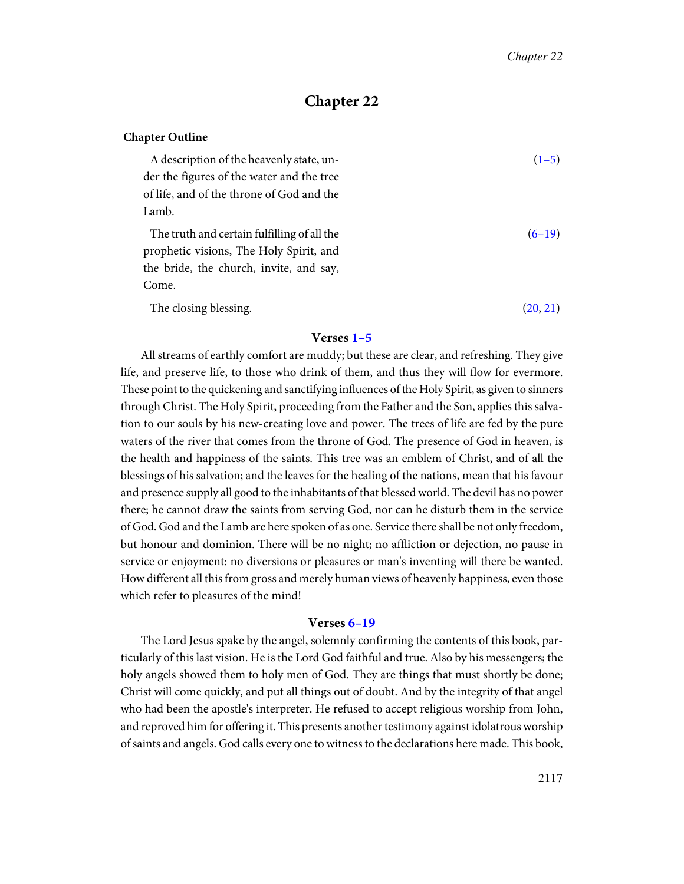## **Chapter Outline**

| A description of the heavenly state, un-    | $(1-5)$  |
|---------------------------------------------|----------|
| der the figures of the water and the tree   |          |
| of life, and of the throne of God and the   |          |
| Lamb.                                       |          |
| The truth and certain fulfilling of all the | $(6-19)$ |
| prophetic visions, The Holy Spirit, and     |          |
| the bride, the church, invite, and say,     |          |
| Come.                                       |          |
| The closing blessing.                       | (20, 21) |

# **Verses [1–5](http://www.ccel.org/study/Bible:Rev.22.1-Rev.22.5)**

All streams of earthly comfort are muddy; but these are clear, and refreshing. They give life, and preserve life, to those who drink of them, and thus they will flow for evermore. These point to the quickening and sanctifying influences of the Holy Spirit, as given to sinners through Christ. The Holy Spirit, proceeding from the Father and the Son, applies this salvation to our souls by his new-creating love and power. The trees of life are fed by the pure waters of the river that comes from the throne of God. The presence of God in heaven, is the health and happiness of the saints. This tree was an emblem of Christ, and of all the blessings of his salvation; and the leaves for the healing of the nations, mean that his favour and presence supply all good to the inhabitants of that blessed world. The devil has no power there; he cannot draw the saints from serving God, nor can he disturb them in the service of God. God and the Lamb are here spoken of as one. Service there shall be not only freedom, but honour and dominion. There will be no night; no affliction or dejection, no pause in service or enjoyment: no diversions or pleasures or man's inventing will there be wanted. How different all this from gross and merely human views of heavenly happiness, even those which refer to pleasures of the mind!

## **Verses [6–19](http://www.ccel.org/study/Bible:Rev.22.6-Rev.22.19)**

The Lord Jesus spake by the angel, solemnly confirming the contents of this book, particularly of this last vision. He is the Lord God faithful and true. Also by his messengers; the holy angels showed them to holy men of God. They are things that must shortly be done; Christ will come quickly, and put all things out of doubt. And by the integrity of that angel who had been the apostle's interpreter. He refused to accept religious worship from John, and reproved him for offering it. This presents another testimony against idolatrous worship of saints and angels. God calls every one to witness to the declarations here made. This book,